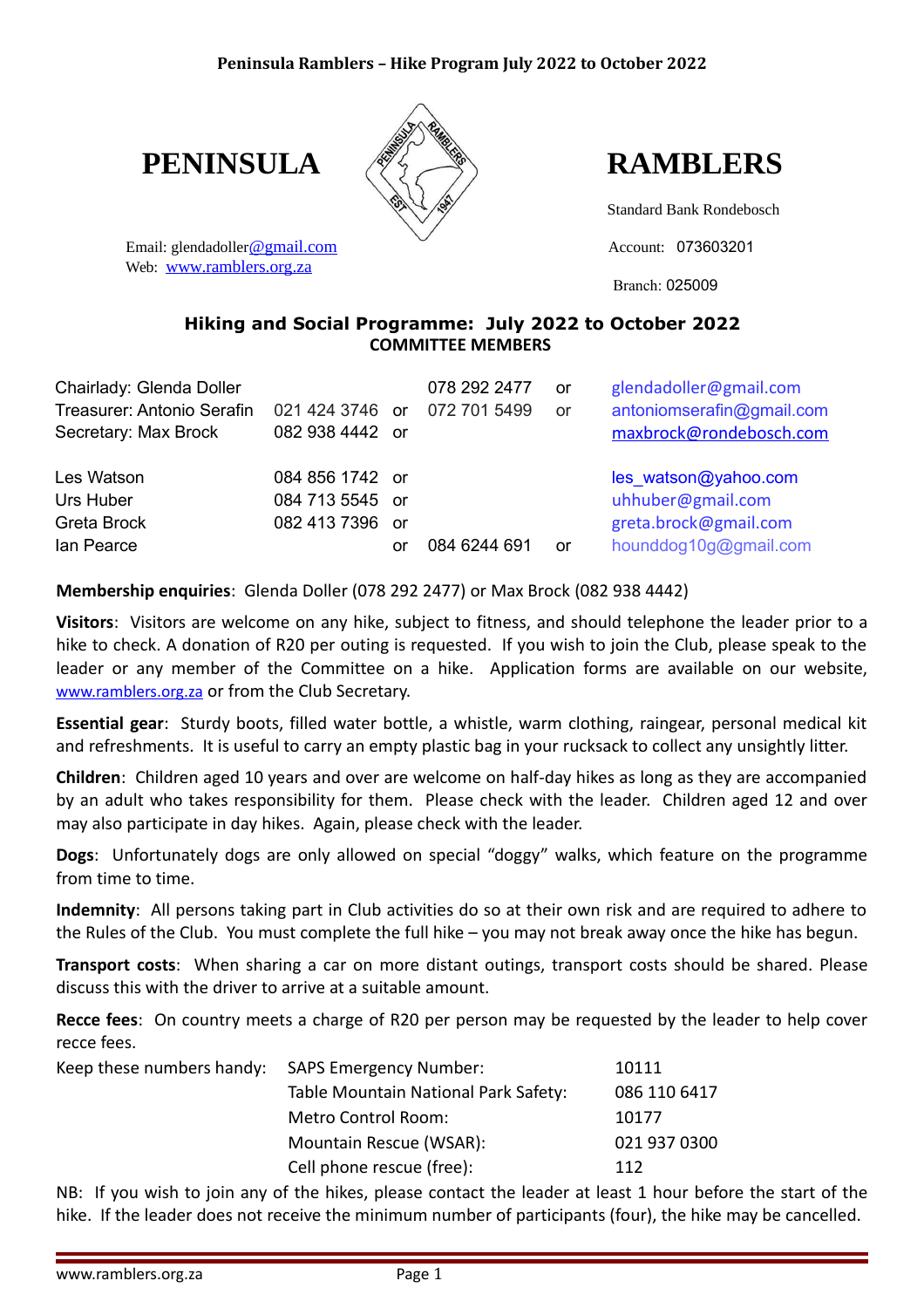

Email: glendadoller[@gmail.com](mailto:peninsularamblers@gmail.com) and Account: 073603201 Web: [www.ramblers.org.za](http://www.ramblers.org.za/)

**PENINSULA RAMBLERS** 

Standard Bank Rondebosch

Branch: 025009

#### **Hiking and Social Programme: July 2022 to October 2022 COMMITTEE MEMBERS**

| Chairlady: Glenda Doller<br><b>Treasurer: Antonio Serafin</b><br>Secretary: Max Brock | 021 424 3746 or<br>082 938 4442 or                    |     | 078 292 2477<br>072 701 5499 | or<br>or | glendadoller@gmail.com<br>antoniomserafin@gmail.com<br>maxbrock@rondebosch.com              |
|---------------------------------------------------------------------------------------|-------------------------------------------------------|-----|------------------------------|----------|---------------------------------------------------------------------------------------------|
| Les Watson<br>Urs Huber<br>Greta Brock<br>lan Pearce                                  | 084 856 1742 or<br>084 713 5545 or<br>082 413 7396 or | .or | 084 6244 691                 | or       | les_watson@yahoo.com<br>uhhuber@gmail.com<br>greta.brock@gmail.com<br>hounddog10g@gmail.com |

**Membership enquiries**: Glenda Doller (078 292 2477) or Max Brock (082 938 4442)

**Visitors**: Visitors are welcome on any hike, subject to fitness, and should telephone the leader prior to a hike to check. A donation of R20 per outing is requested. If you wish to join the Club, please speak to the leader or any member of the Committee on a hike. Application forms are available on our website, [www.ramblers.org.za](http://www.ramblers.org.za/) or from the Club Secretary.

**Essential gear**: Sturdy boots, filled water bottle, a whistle, warm clothing, raingear, personal medical kit and refreshments. It is useful to carry an empty plastic bag in your rucksack to collect any unsightly litter.

**Children**: Children aged 10 years and over are welcome on half-day hikes as long as they are accompanied by an adult who takes responsibility for them. Please check with the leader. Children aged 12 and over may also participate in day hikes. Again, please check with the leader.

**Dogs**: Unfortunately dogs are only allowed on special "doggy" walks, which feature on the programme from time to time.

**Indemnity**: All persons taking part in Club activities do so at their own risk and are required to adhere to the Rules of the Club. You must complete the full hike – you may not break away once the hike has begun.

**Transport costs**: When sharing a car on more distant outings, transport costs should be shared. Please discuss this with the driver to arrive at a suitable amount.

**Recce fees**: On country meets a charge of R20 per person may be requested by the leader to help cover recce fees.

| Keep these numbers handy: SAPS Emergency Number: |                                      | 10111        |
|--------------------------------------------------|--------------------------------------|--------------|
|                                                  | Table Mountain National Park Safety: | 086 110 6417 |
|                                                  | Metro Control Room:                  | 10177        |
|                                                  | Mountain Rescue (WSAR):              | 021 937 0300 |
|                                                  | Cell phone rescue (free):            | 112          |

NB: If you wish to join any of the hikes, please contact the leader at least 1 hour before the start of the hike. If the leader does not receive the minimum number of participants (four), the hike may be cancelled.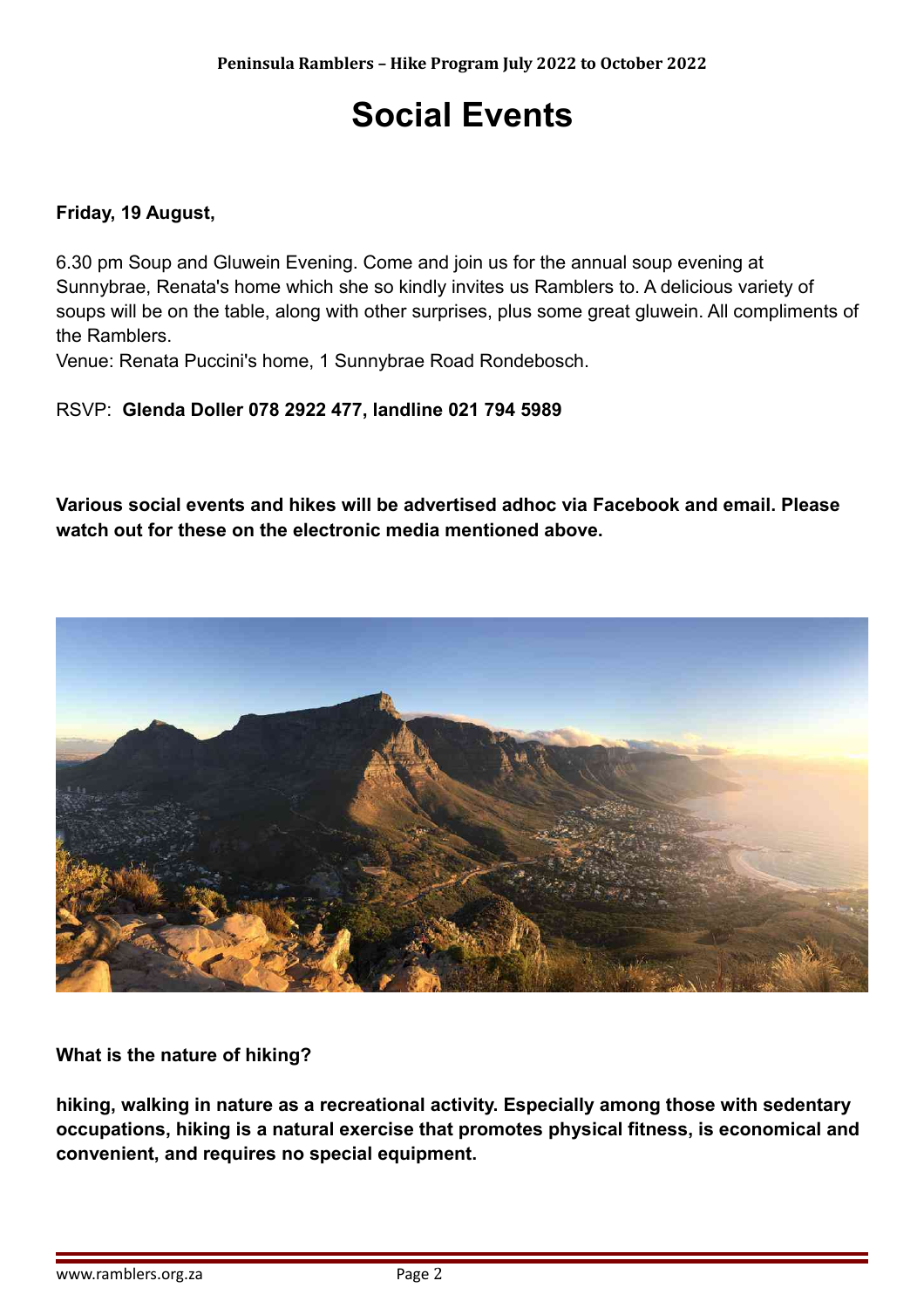## **Social Events**

#### **Friday, 19 August,**

6.30 pm Soup and Gluwein Evening. Come and join us for the annual soup evening at Sunnybrae, Renata's home which she so kindly invites us Ramblers to. A delicious variety of soups will be on the table, along with other surprises, plus some great gluwein. All compliments of the Ramblers.

Venue: Renata Puccini's home, 1 Sunnybrae Road Rondebosch.

#### RSVP: **Glenda Doller 078 2922 477, landline 021 794 5989**

**Various social events and hikes will be advertised adhoc via Facebook and email. Please watch out for these on the electronic media mentioned above.**



#### **What is the nature of hiking?**

**hiking, walking in nature as a recreational activity. Especially among those with sedentary occupations, hiking is a natural exercise that promotes physical fitness, is economical and convenient, and requires no special equipment.**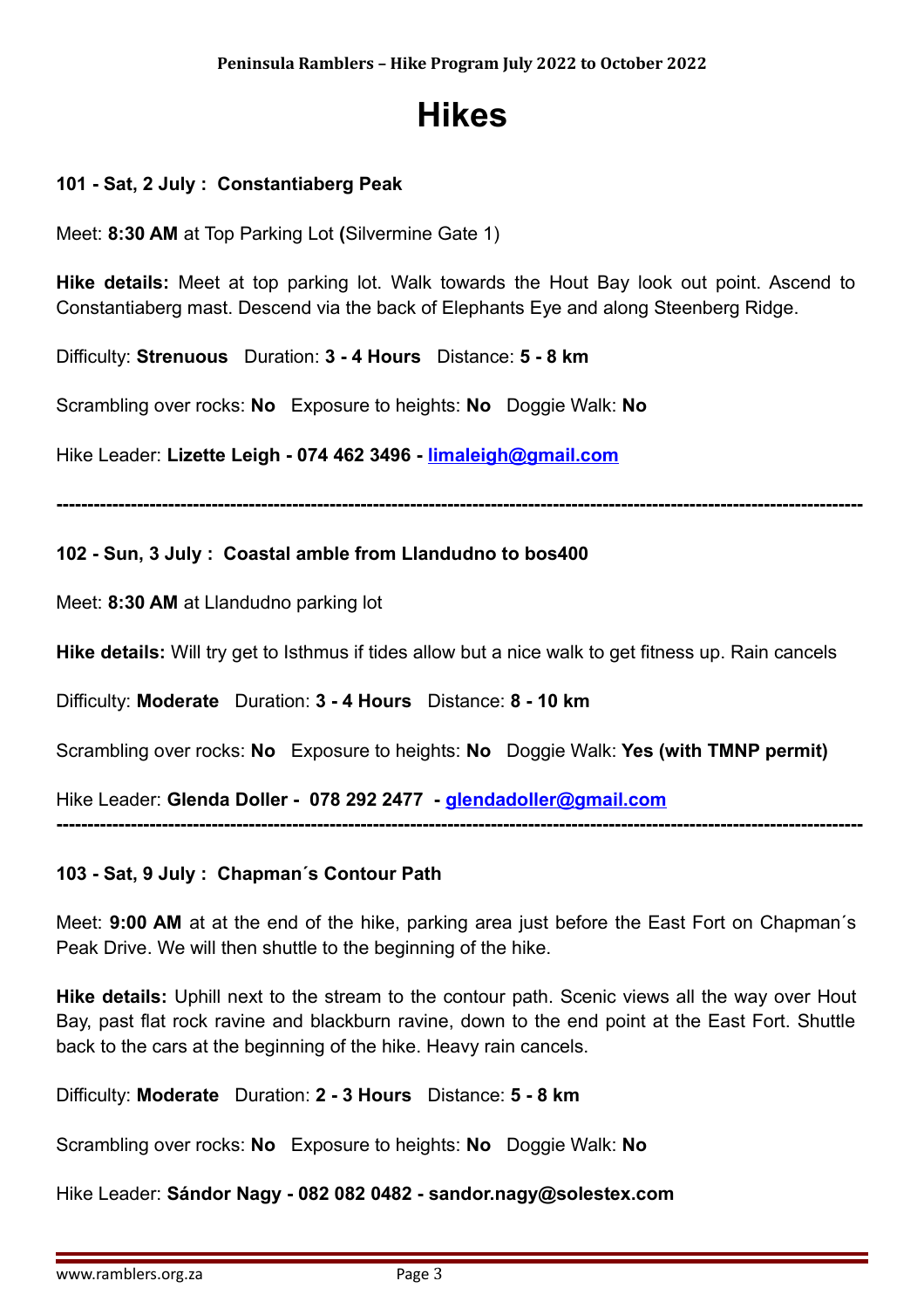## **Hikes**

#### **101 - Sat, 2 July : Constantiaberg Peak**

Meet: **8:30 AM** at Top Parking Lot **(**Silvermine Gate 1)

**Hike details:** Meet at top parking lot. Walk towards the Hout Bay look out point. Ascend to Constantiaberg mast. Descend via the back of Elephants Eye and along Steenberg Ridge.

Difficulty: **Strenuous** Duration: **3 - 4 Hours** Distance: **5 - 8 km**

Scrambling over rocks: **No** Exposure to heights: **No** Doggie Walk: **No**

Hike Leader: **Lizette Leigh - 074 462 3496 - [limaleigh@gmail.com](mailto:limaleigh@gmail.com)**

**----------------------------------------------------------------------------------------------------------------------------------**

#### **102 - Sun, 3 July : Coastal amble from Llandudno to bos400**

Meet: **8:30 AM** at Llandudno parking lot

**Hike details:** Will try get to Isthmus if tides allow but a nice walk to get fitness up. Rain cancels

Difficulty: **Moderate** Duration: **3 - 4 Hours** Distance: **8 - 10 km**

Scrambling over rocks: **No** Exposure to heights: **No** Doggie Walk: **Yes (with TMNP permit)**

Hike Leader: **Glenda Doller - 078 292 2477 - [glendadoller@gmail.com](mailto:glendadoller@gmail.com)**

### **103 - Sat, 9 July : Chapman´s Contour Path**

Meet: **9:00 AM** at at the end of the hike, parking area just before the East Fort on Chapman´s Peak Drive. We will then shuttle to the beginning of the hike.

**----------------------------------------------------------------------------------------------------------------------------------**

**Hike details:** Uphill next to the stream to the contour path. Scenic views all the way over Hout Bay, past flat rock ravine and blackburn ravine, down to the end point at the East Fort. Shuttle back to the cars at the beginning of the hike. Heavy rain cancels.

Difficulty: **Moderate** Duration: **2 - 3 Hours** Distance: **5 - 8 km**

Scrambling over rocks: **No** Exposure to heights: **No** Doggie Walk: **No**

Hike Leader: **Sándor Nagy - 082 082 0482 - sandor.nagy@solestex.com**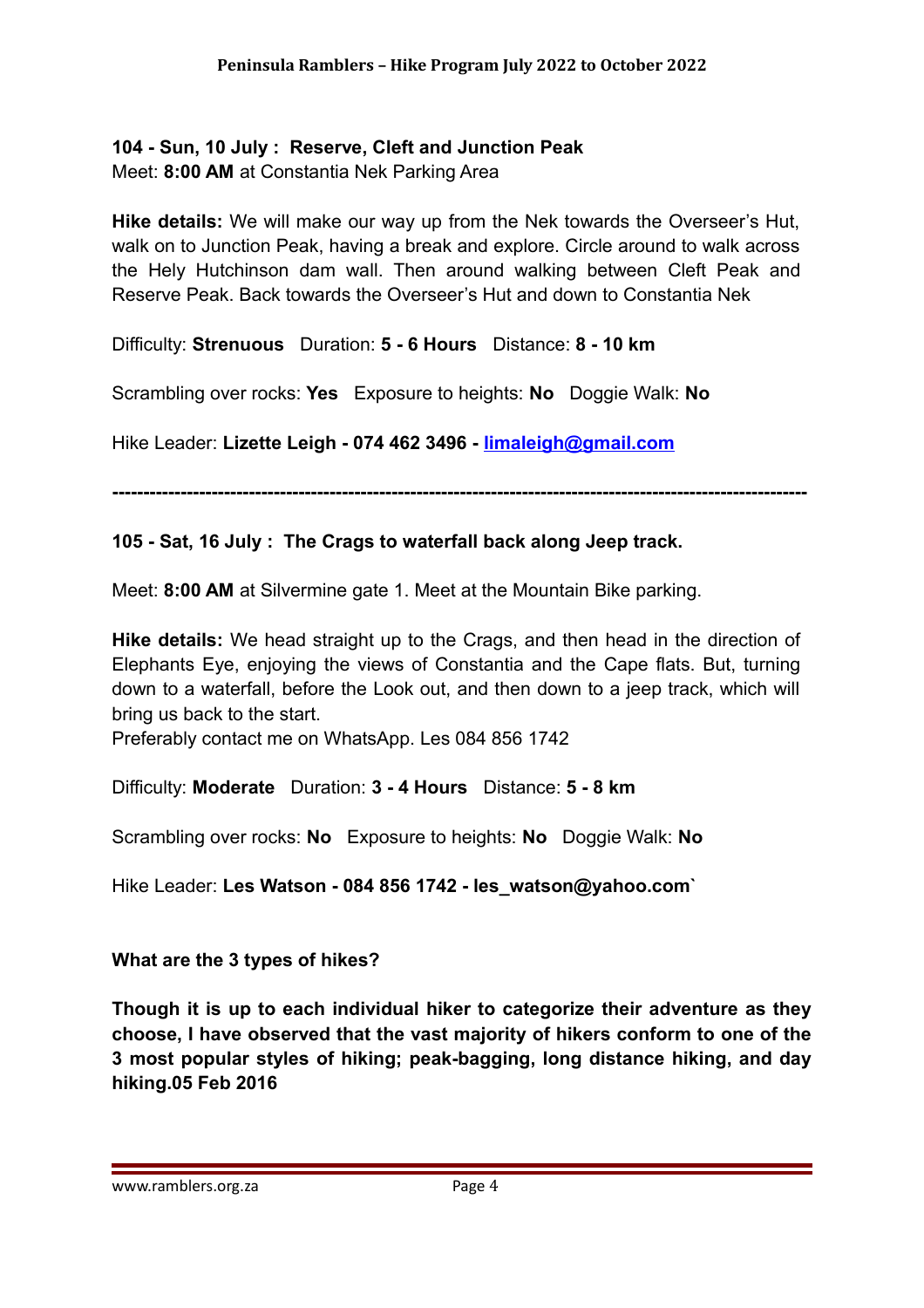#### **104 - Sun, 10 July : Reserve, Cleft and Junction Peak**

Meet: **8:00 AM** at Constantia Nek Parking Area

**Hike details:** We will make our way up from the Nek towards the Overseer's Hut, walk on to Junction Peak, having a break and explore. Circle around to walk across the Hely Hutchinson dam wall. Then around walking between Cleft Peak and Reserve Peak. Back towards the Overseer's Hut and down to Constantia Nek

Difficulty: **Strenuous** Duration: **5 - 6 Hours** Distance: **8 - 10 km**

Scrambling over rocks: **Yes** Exposure to heights: **No** Doggie Walk: **No**

Hike Leader: **Lizette Leigh - 074 462 3496 - [limaleigh@gmail.com](mailto:limaleigh@gmail.com)**

**----------------------------------------------------------------------------------------------------------------**

#### **105 - Sat, 16 July : The Crags to waterfall back along Jeep track.**

Meet: **8:00 AM** at Silvermine gate 1. Meet at the Mountain Bike parking.

**Hike details:** We head straight up to the Crags, and then head in the direction of Elephants Eye, enjoying the views of Constantia and the Cape flats. But, turning down to a waterfall, before the Look out, and then down to a jeep track, which will bring us back to the start.

Preferably contact me on WhatsApp. Les 084 856 1742

Difficulty: **Moderate** Duration: **3 - 4 Hours** Distance: **5 - 8 km**

Scrambling over rocks: **No** Exposure to heights: **No** Doggie Walk: **No**

Hike Leader: **Les Watson - 084 856 1742 - les\_watson@yahoo.com`**

#### **What are the 3 types of hikes?**

**Though it is up to each individual hiker to categorize their adventure as they choose, I have observed that the vast majority of hikers conform to one of the 3 most popular styles of hiking; peak-bagging, long distance hiking, and day hiking.05 Feb 2016**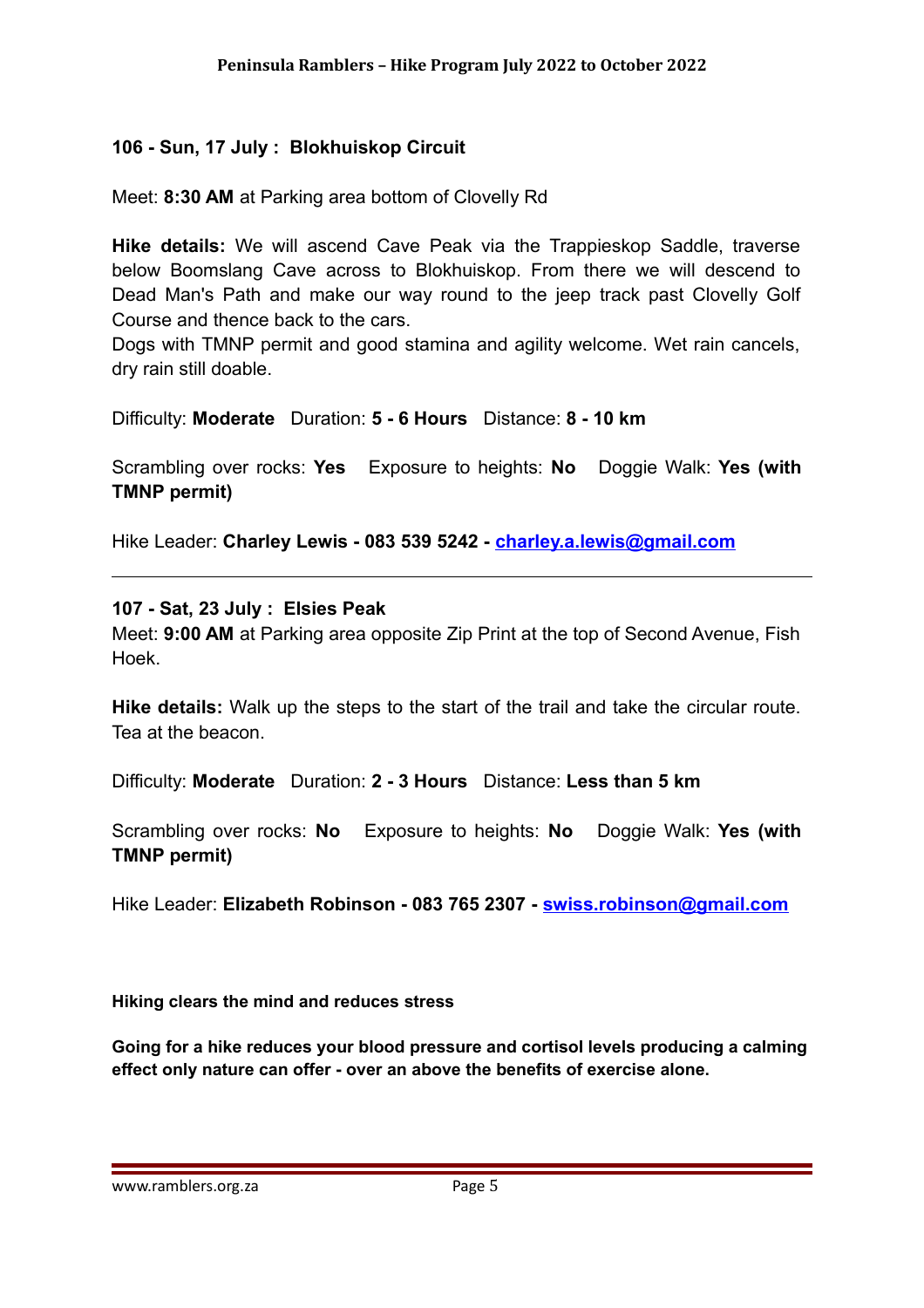#### **106 - Sun, 17 July : Blokhuiskop Circuit**

Meet: **8:30 AM** at Parking area bottom of Clovelly Rd

**Hike details:** We will ascend Cave Peak via the Trappieskop Saddle, traverse below Boomslang Cave across to Blokhuiskop. From there we will descend to Dead Man's Path and make our way round to the jeep track past Clovelly Golf Course and thence back to the cars.

Dogs with TMNP permit and good stamina and agility welcome. Wet rain cancels, dry rain still doable.

Difficulty: **Moderate** Duration: **5 - 6 Hours** Distance: **8 - 10 km**

Scrambling over rocks: **Yes** Exposure to heights: **No** Doggie Walk: **Yes (with TMNP permit)**

Hike Leader: **Charley Lewis - 083 539 5242 - [charley.a.lewis@gmail.com](mailto:charley.a.lewis@gmail.com)**

**107 - Sat, 23 July : Elsies Peak**

Meet: **9:00 AM** at Parking area opposite Zip Print at the top of Second Avenue, Fish Hoek.

**Hike details:** Walk up the steps to the start of the trail and take the circular route. Tea at the beacon.

Difficulty: **Moderate** Duration: **2 - 3 Hours** Distance: **Less than 5 km**

Scrambling over rocks: **No** Exposure to heights: **No** Doggie Walk: **Yes (with TMNP permit)**

Hike Leader: **Elizabeth Robinson - 083 765 2307 - [swiss.robinson@gmail.com](mailto:swiss.robinson@gmail.com)**

**Hiking clears the mind and reduces stress**

**Going for a hike reduces your blood pressure and cortisol levels producing a calming effect only nature can offer - over an above the benefits of exercise alone.**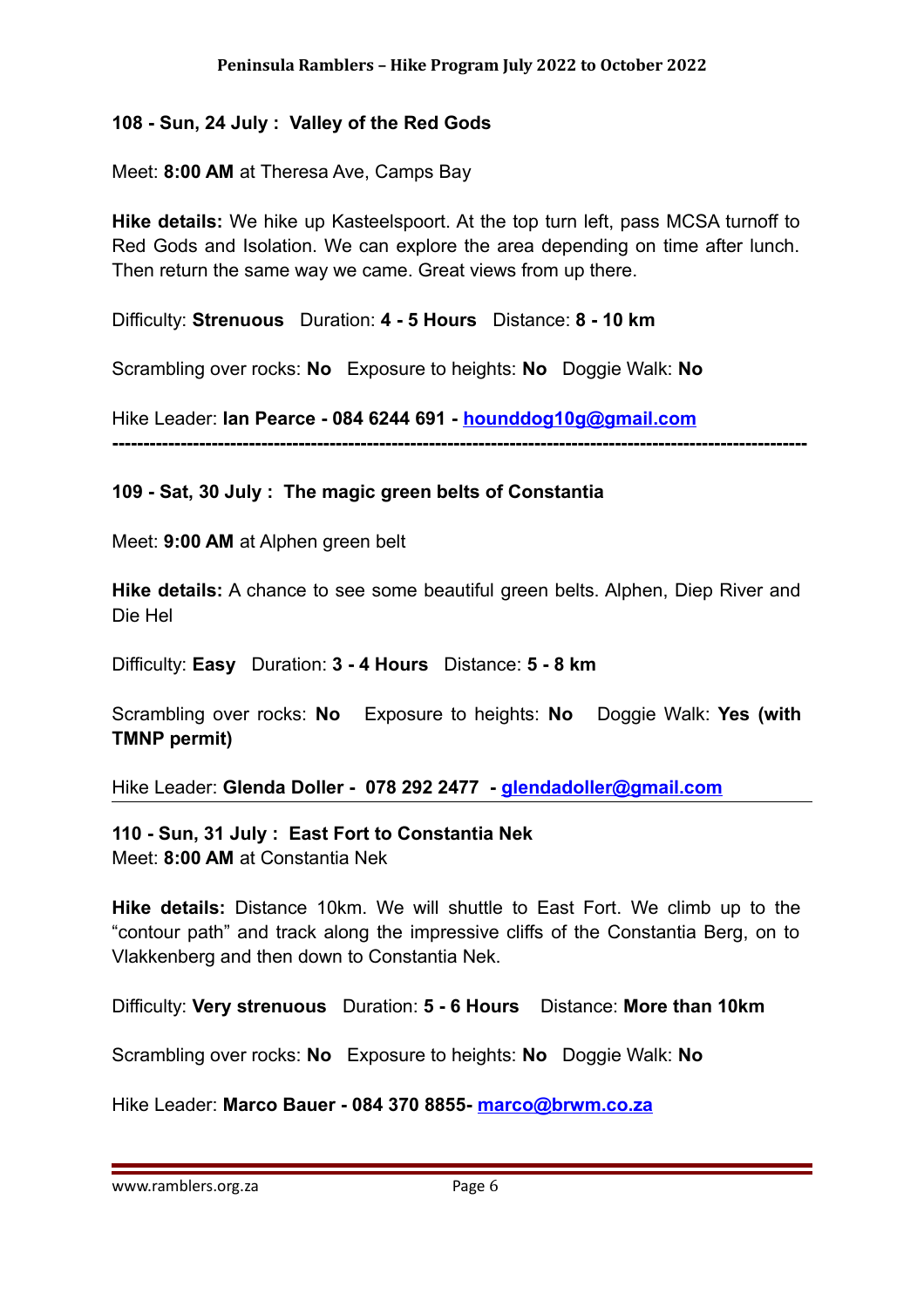#### **108 - Sun, 24 July : Valley of the Red Gods**

Meet: **8:00 AM** at Theresa Ave, Camps Bay

**Hike details:** We hike up Kasteelspoort. At the top turn left, pass MCSA turnoff to Red Gods and Isolation. We can explore the area depending on time after lunch. Then return the same way we came. Great views from up there.

Difficulty: **Strenuous** Duration: **4 - 5 Hours** Distance: **8 - 10 km**

Scrambling over rocks: **No** Exposure to heights: **No** Doggie Walk: **No**

Hike Leader: **Ian Pearce - 084 6244 691 - [hounddog10g@gmail.com](mailto:hounddog10g@gmail.com)**

**----------------------------------------------------------------------------------------------------------------**

#### **109 - Sat, 30 July : The magic green belts of Constantia**

Meet: **9:00 AM** at Alphen green belt

**Hike details:** A chance to see some beautiful green belts. Alphen, Diep River and Die Hel

Difficulty: **Easy** Duration: **3 - 4 Hours** Distance: **5 - 8 km**

Scrambling over rocks: **No** Exposure to heights: **No** Doggie Walk: **Yes (with TMNP permit)**

Hike Leader: **Glenda Doller - 078 292 2477 - [glendadoller@gmail.com](mailto:glendadoller@gmail.com)**

#### **110 - Sun, 31 July : East Fort to Constantia Nek**

Meet: **8:00 AM** at Constantia Nek

**Hike details:** Distance 10km. We will shuttle to East Fort. We climb up to the "contour path" and track along the impressive cliffs of the Constantia Berg, on to Vlakkenberg and then down to Constantia Nek.

Difficulty: **Very strenuous** Duration: **5 - 6 Hours** Distance: **More than 10km**

Scrambling over rocks: **No** Exposure to heights: **No** Doggie Walk: **No**

Hike Leader: **Marco Bauer - 084 370 8855- [marco@brwm.co.za](mailto:marco@brwm.co.za)**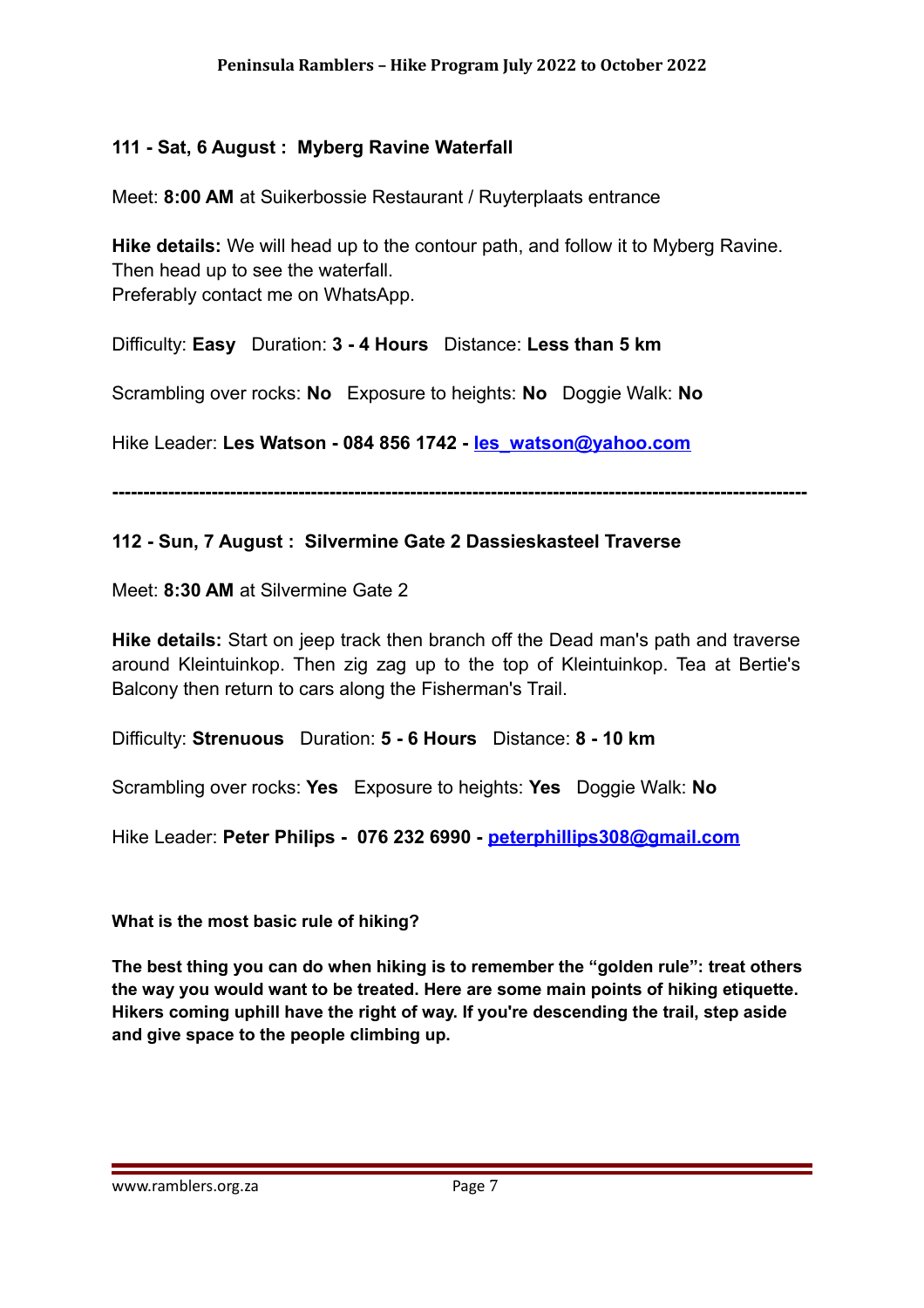#### **111 - Sat, 6 August : Myberg Ravine Waterfall**

Meet: **8:00 AM** at Suikerbossie Restaurant / Ruyterplaats entrance

**Hike details:** We will head up to the contour path, and follow it to Myberg Ravine. Then head up to see the waterfall. Preferably contact me on WhatsApp.

Difficulty: **Easy** Duration: **3 - 4 Hours** Distance: **Less than 5 km**

Scrambling over rocks: **No** Exposure to heights: **No** Doggie Walk: **No**

Hike Leader: **Les Watson - 084 856 1742 - [les\\_watson@yahoo.com](mailto:les_watson@yahoo.com)**

**----------------------------------------------------------------------------------------------------------------**

#### **112 - Sun, 7 August : Silvermine Gate 2 Dassieskasteel Traverse**

Meet: **8:30 AM** at Silvermine Gate 2

**Hike details:** Start on jeep track then branch off the Dead man's path and traverse around Kleintuinkop. Then zig zag up to the top of Kleintuinkop. Tea at Bertie's Balcony then return to cars along the Fisherman's Trail.

Difficulty: **Strenuous** Duration: **5 - 6 Hours** Distance: **8 - 10 km**

Scrambling over rocks: **Yes** Exposure to heights: **Yes** Doggie Walk: **No**

Hike Leader: **Peter Philips - 076 232 6990 - [peterphillips308@gmail.com](mailto:peterphillips308@gmail.com)**

**What is the most basic rule of hiking?**

**The best thing you can do when hiking is to remember the "golden rule": treat others the way you would want to be treated. Here are some main points of hiking etiquette. Hikers coming uphill have the right of way. If you're descending the trail, step aside and give space to the people climbing up.**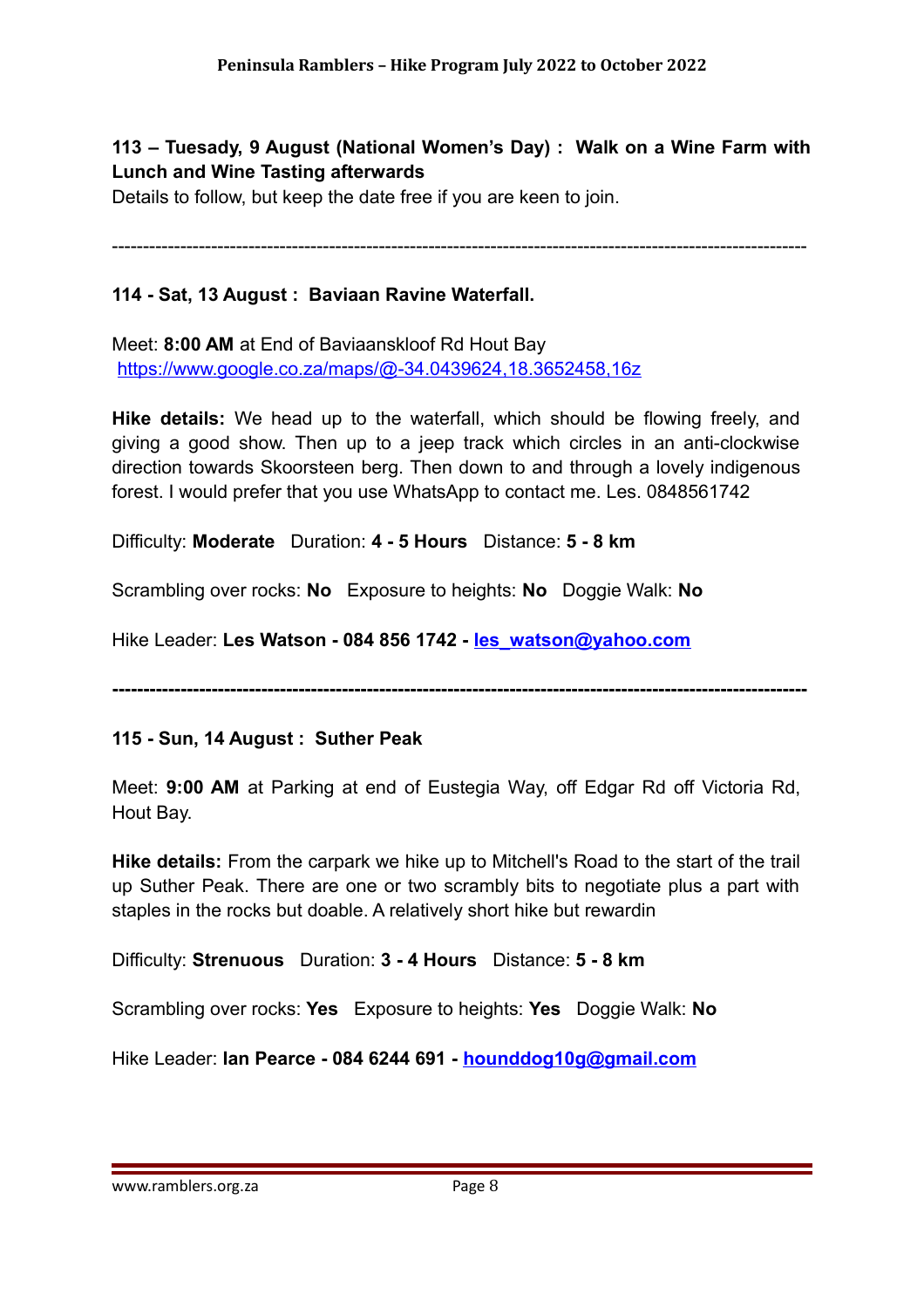**113 – Tuesady, 9 August (National Women's Day) : Walk on a Wine Farm with Lunch and Wine Tasting afterwards**

Details to follow, but keep the date free if you are keen to join.

----------------------------------------------------------------------------------------------------------------

#### **114 - Sat, 13 August : Baviaan Ravine Waterfall.**

Meet: **8:00 AM** at End of Baviaanskloof Rd Hout Bay <https://www.google.co.za/maps/@-34.0439624,18.3652458,16z>

**Hike details:** We head up to the waterfall, which should be flowing freely, and giving a good show. Then up to a jeep track which circles in an anti-clockwise direction towards Skoorsteen berg. Then down to and through a lovely indigenous forest. I would prefer that you use WhatsApp to contact me. Les. 0848561742

Difficulty: **Moderate** Duration: **4 - 5 Hours** Distance: **5 - 8 km**

Scrambling over rocks: **No** Exposure to heights: **No** Doggie Walk: **No**

Hike Leader: **Les Watson - 084 856 1742 - [les\\_watson@yahoo.com](mailto:les_watson@yahoo.com)**

**----------------------------------------------------------------------------------------------------------------**

#### **115 - Sun, 14 August : Suther Peak**

Meet: **9:00 AM** at Parking at end of Eustegia Way, off Edgar Rd off Victoria Rd, Hout Bay.

**Hike details:** From the carpark we hike up to Mitchell's Road to the start of the trail up Suther Peak. There are one or two scrambly bits to negotiate plus a part with staples in the rocks but doable. A relatively short hike but rewardin

Difficulty: **Strenuous** Duration: **3 - 4 Hours** Distance: **5 - 8 km**

Scrambling over rocks: **Yes** Exposure to heights: **Yes** Doggie Walk: **No**

Hike Leader: **Ian Pearce - 084 6244 691 - [hounddog10g@gmail.com](mailto:hounddog10g@gmail.com)**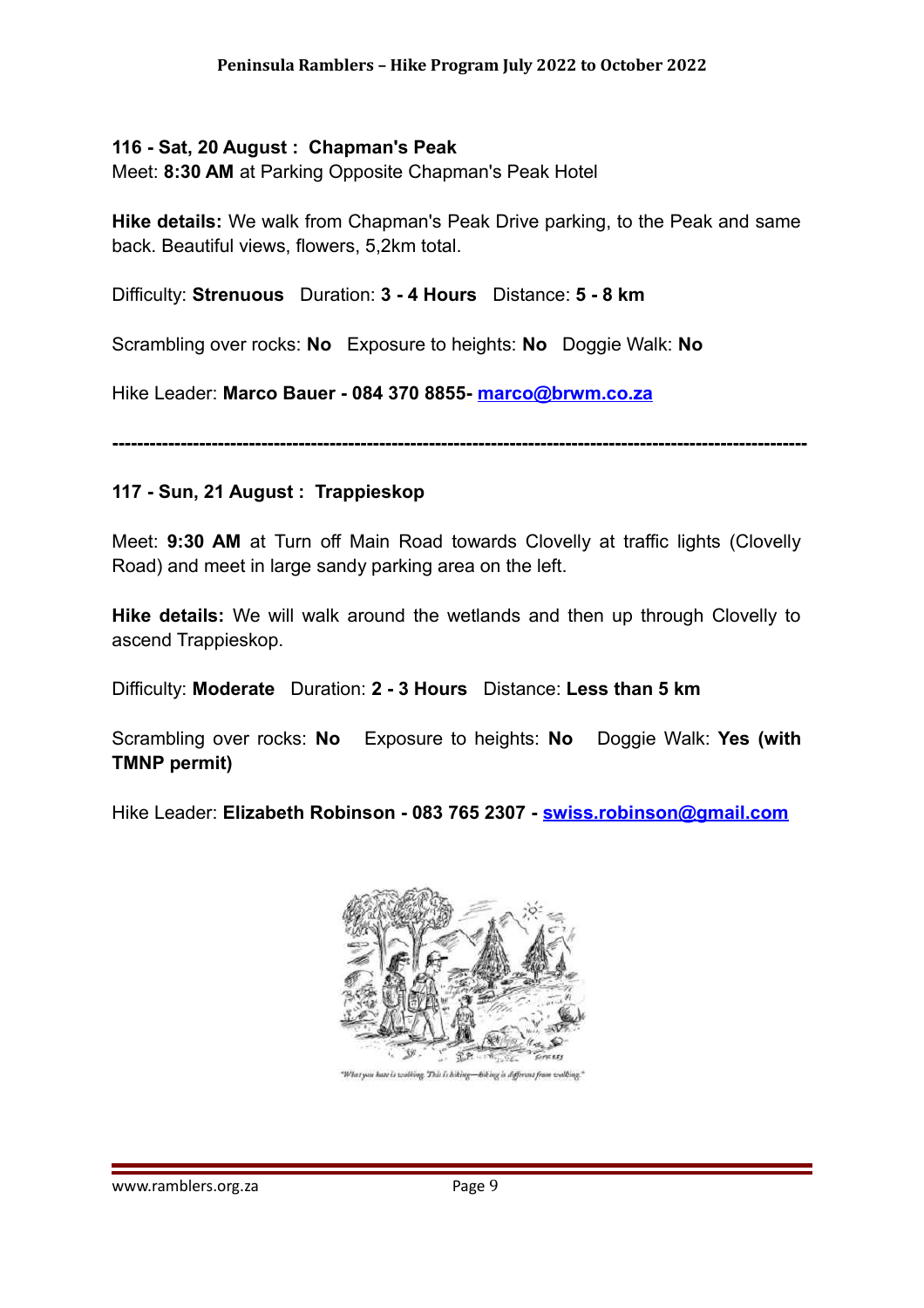#### **116 - Sat, 20 August : Chapman's Peak**

Meet: **8:30 AM** at Parking Opposite Chapman's Peak Hotel

**Hike details:** We walk from Chapman's Peak Drive parking, to the Peak and same back. Beautiful views, flowers, 5,2km total.

Difficulty: **Strenuous** Duration: **3 - 4 Hours** Distance: **5 - 8 km**

Scrambling over rocks: **No** Exposure to heights: **No** Doggie Walk: **No**

Hike Leader: **Marco Bauer - 084 370 8855- [marco@brwm.co.za](mailto:marco@brwm.co.za)**

**----------------------------------------------------------------------------------------------------------------**

#### **117 - Sun, 21 August : Trappieskop**

Meet: **9:30 AM** at Turn off Main Road towards Clovelly at traffic lights (Clovelly Road) and meet in large sandy parking area on the left.

**Hike details:** We will walk around the wetlands and then up through Clovelly to ascend Trappieskop.

Difficulty: **Moderate** Duration: **2 - 3 Hours** Distance: **Less than 5 km**

Scrambling over rocks: **No** Exposure to heights: **No** Doggie Walk: **Yes (with TMNP permit)**

Hike Leader: **Elizabeth Robinson - 083 765 2307 - [swiss.robinson@gmail.com](mailto:swiss.robinson@gmail.com)**



"What you have is working. This is hiking-hiking is different from working."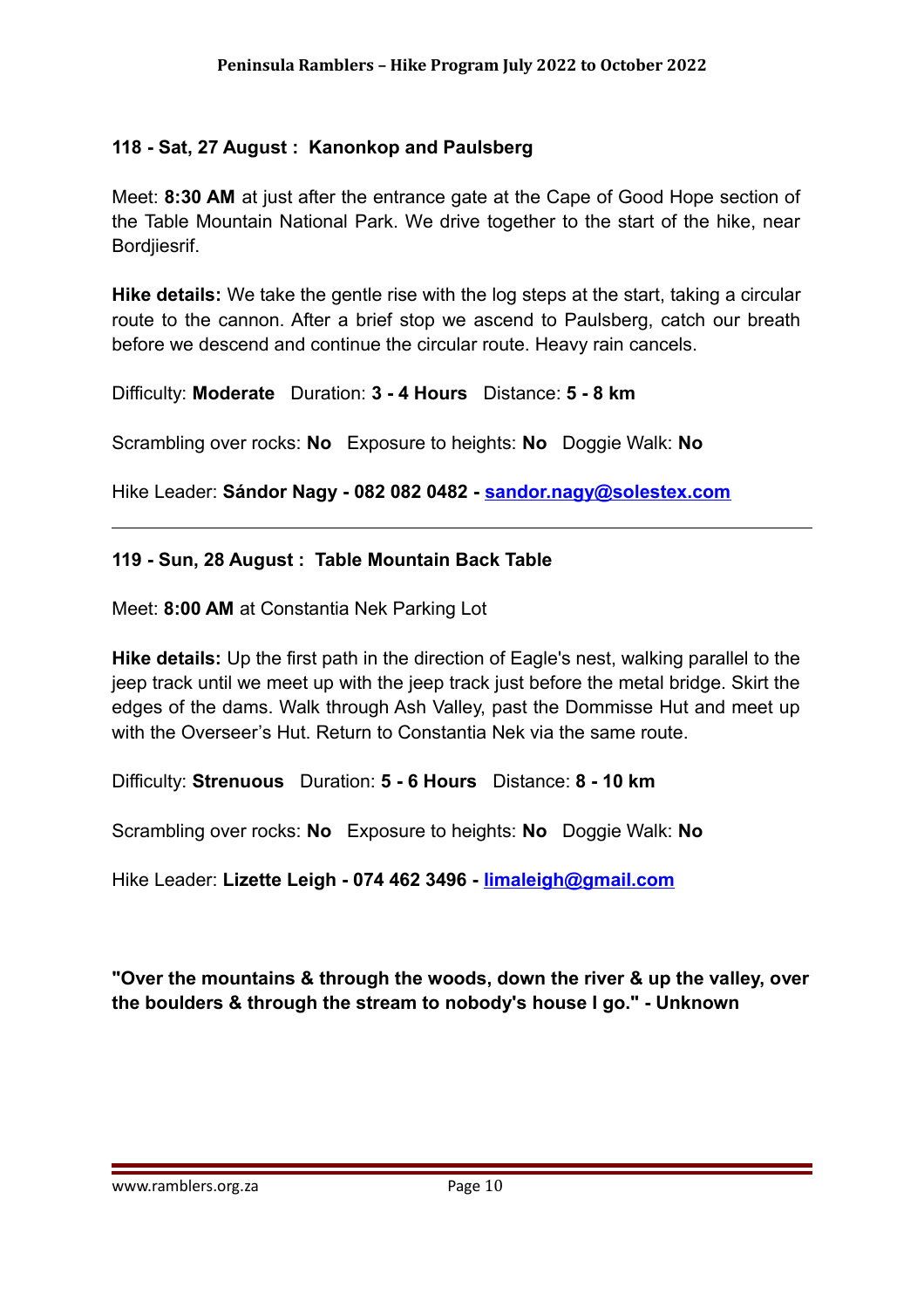#### **118 - Sat, 27 August : Kanonkop and Paulsberg**

Meet: **8:30 AM** at just after the entrance gate at the Cape of Good Hope section of the Table Mountain National Park. We drive together to the start of the hike, near Bordjiesrif.

**Hike details:** We take the gentle rise with the log steps at the start, taking a circular route to the cannon. After a brief stop we ascend to Paulsberg, catch our breath before we descend and continue the circular route. Heavy rain cancels.

Difficulty: **Moderate** Duration: **3 - 4 Hours** Distance: **5 - 8 km**

Scrambling over rocks: **No** Exposure to heights: **No** Doggie Walk: **No**

Hike Leader: **Sándor Nagy - 082 082 0482 - [sandor.nagy@solestex.com](mailto:sandor.nagy@solestex.com)**

#### **119 - Sun, 28 August : Table Mountain Back Table**

Meet: **8:00 AM** at Constantia Nek Parking Lot

**Hike details:** Up the first path in the direction of Eagle's nest, walking parallel to the jeep track until we meet up with the jeep track just before the metal bridge. Skirt the edges of the dams. Walk through Ash Valley, past the Dommisse Hut and meet up with the Overseer's Hut. Return to Constantia Nek via the same route.

Difficulty: **Strenuous** Duration: **5 - 6 Hours** Distance: **8 - 10 km**

Scrambling over rocks: **No** Exposure to heights: **No** Doggie Walk: **No**

Hike Leader: **Lizette Leigh - 074 462 3496 - [limaleigh@gmail.com](mailto:limaleigh@gmail.com)**

**"Over the mountains & through the woods, down the river & up the valley, over the boulders & through the stream to nobody's house I go." - Unknown**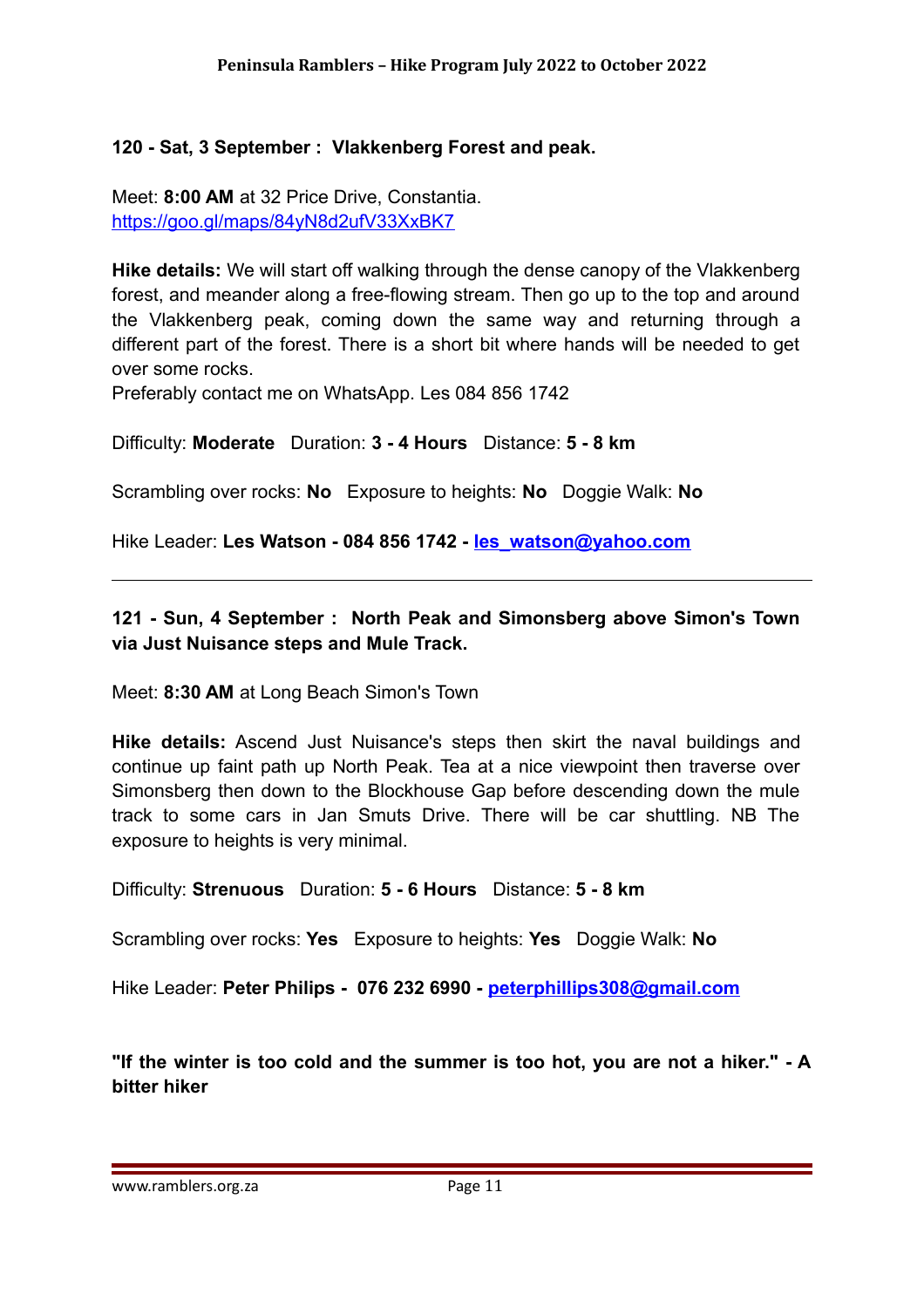#### **120 - Sat, 3 September : Vlakkenberg Forest and peak.**

Meet: **8:00 AM** at 32 Price Drive, Constantia. <https://goo.gl/maps/84yN8d2ufV33XxBK7>

**Hike details:** We will start off walking through the dense canopy of the Vlakkenberg forest, and meander along a free-flowing stream. Then go up to the top and around the Vlakkenberg peak, coming down the same way and returning through a different part of the forest. There is a short bit where hands will be needed to get over some rocks.

Preferably contact me on WhatsApp. Les 084 856 1742

Difficulty: **Moderate** Duration: **3 - 4 Hours** Distance: **5 - 8 km**

Scrambling over rocks: **No** Exposure to heights: **No** Doggie Walk: **No**

Hike Leader: **Les Watson - 084 856 1742 - [les\\_watson@yahoo.com](mailto:les_watson@yahoo.com)**

#### **121 - Sun, 4 September : North Peak and Simonsberg above Simon's Town via Just Nuisance steps and Mule Track.**

Meet: **8:30 AM** at Long Beach Simon's Town

**Hike details:** Ascend Just Nuisance's steps then skirt the naval buildings and continue up faint path up North Peak. Tea at a nice viewpoint then traverse over Simonsberg then down to the Blockhouse Gap before descending down the mule track to some cars in Jan Smuts Drive. There will be car shuttling. NB The exposure to heights is very minimal.

Difficulty: **Strenuous** Duration: **5 - 6 Hours** Distance: **5 - 8 km**

Scrambling over rocks: **Yes** Exposure to heights: **Yes** Doggie Walk: **No**

Hike Leader: **Peter Philips - 076 232 6990 - [peterphillips308@gmail.com](mailto:peterphillips308@gmail.com)**

**"If the winter is too cold and the summer is too hot, you are not a hiker." - A bitter hiker**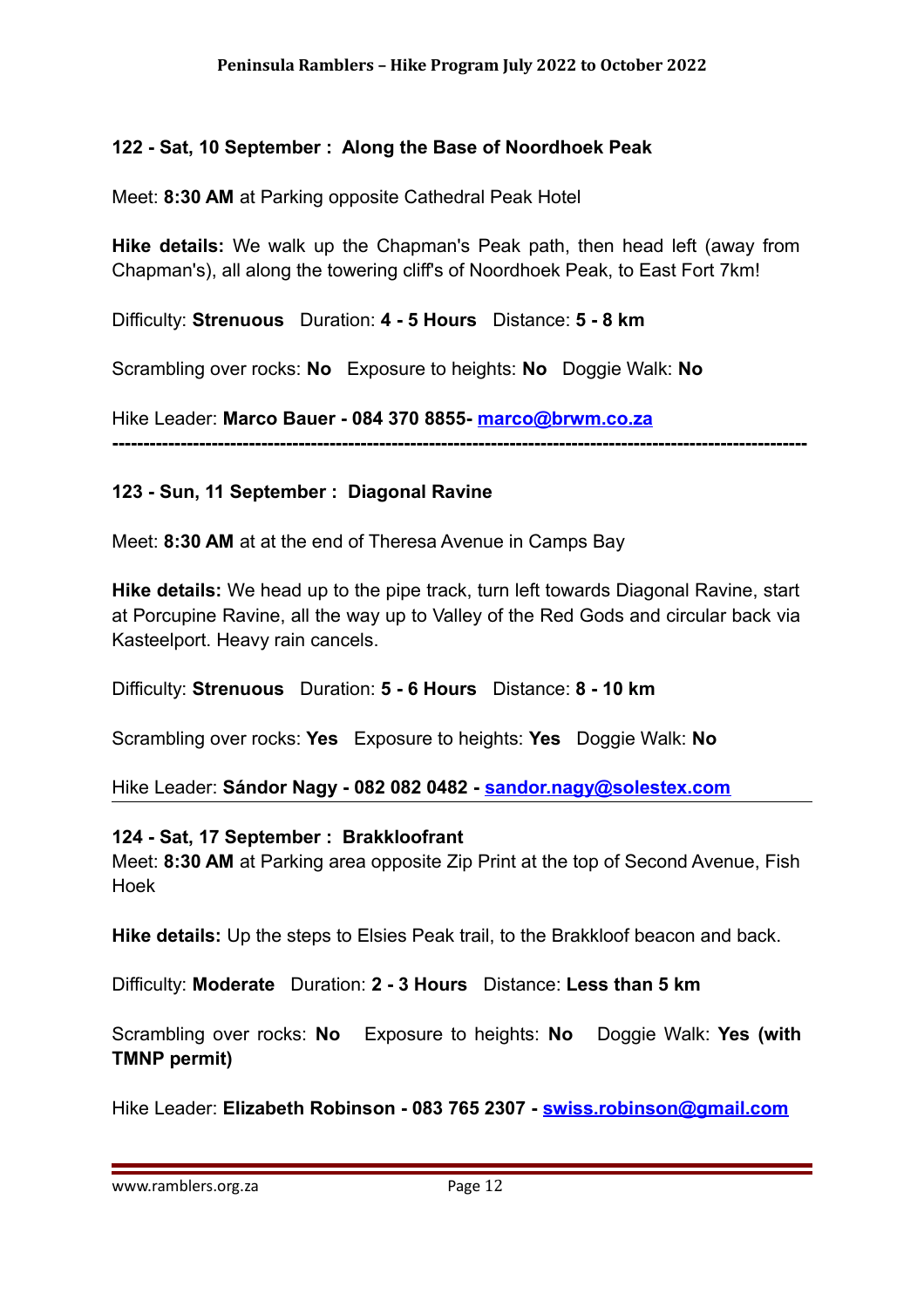#### **122 - Sat, 10 September : Along the Base of Noordhoek Peak**

Meet: **8:30 AM** at Parking opposite Cathedral Peak Hotel

**Hike details:** We walk up the Chapman's Peak path, then head left (away from Chapman's), all along the towering cliff's of Noordhoek Peak, to East Fort 7km!

Difficulty: **Strenuous** Duration: **4 - 5 Hours** Distance: **5 - 8 km**

Scrambling over rocks: **No** Exposure to heights: **No** Doggie Walk: **No**

Hike Leader: **Marco Bauer - 084 370 8855- [marco@brwm.co.za](mailto:marco@brwm.co.za) ----------------------------------------------------------------------------------------------------------------**

#### **123 - Sun, 11 September : Diagonal Ravine**

Meet: **8:30 AM** at at the end of Theresa Avenue in Camps Bay

**Hike details:** We head up to the pipe track, turn left towards Diagonal Ravine, start at Porcupine Ravine, all the way up to Valley of the Red Gods and circular back via Kasteelport. Heavy rain cancels.

Difficulty: **Strenuous** Duration: **5 - 6 Hours** Distance: **8 - 10 km**

Scrambling over rocks: **Yes** Exposure to heights: **Yes** Doggie Walk: **No**

Hike Leader: **Sándor Nagy - 082 082 0482 - [sandor.nagy@solestex.com](mailto:sandor.nagy@solestex.com)**

#### **124 - Sat, 17 September : Brakkloofrant**

Meet: **8:30 AM** at Parking area opposite Zip Print at the top of Second Avenue, Fish Hoek

**Hike details:** Up the steps to Elsies Peak trail, to the Brakkloof beacon and back.

Difficulty: **Moderate** Duration: **2 - 3 Hours** Distance: **Less than 5 km**

Scrambling over rocks: **No** Exposure to heights: **No** Doggie Walk: **Yes (with TMNP permit)**

Hike Leader: **Elizabeth Robinson - 083 765 2307 - [swiss.robinson@gmail.com](mailto:swiss.robinson@gmail.com)**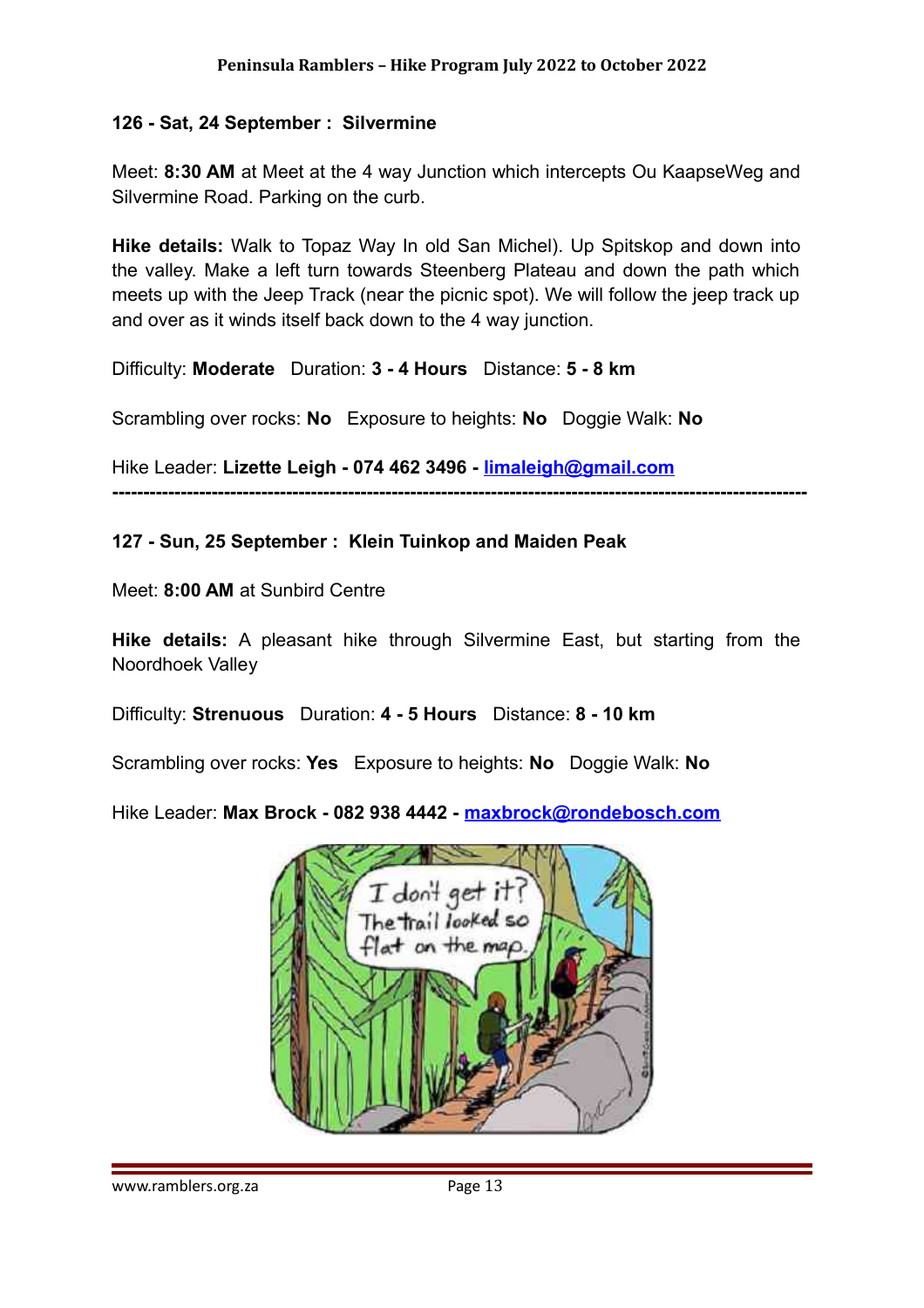#### **126 - Sat, 24 September : Silvermine**

Meet: **8:30 AM** at Meet at the 4 way Junction which intercepts Ou KaapseWeg and Silvermine Road. Parking on the curb.

**Hike details:** Walk to Topaz Way In old San Michel). Up Spitskop and down into the valley. Make a left turn towards Steenberg Plateau and down the path which meets up with the Jeep Track (near the picnic spot). We will follow the jeep track up and over as it winds itself back down to the 4 way junction.

Difficulty: **Moderate** Duration: **3 - 4 Hours** Distance: **5 - 8 km**

Scrambling over rocks: **No** Exposure to heights: **No** Doggie Walk: **No**

Hike Leader: **Lizette Leigh - 074 462 3496 - [limaleigh@gmail.com](mailto:limaleigh@gmail.com)**

**----------------------------------------------------------------------------------------------------------------**

#### **127 - Sun, 25 September : Klein Tuinkop and Maiden Peak**

Meet: **8:00 AM** at Sunbird Centre

**Hike details:** A pleasant hike through Silvermine East, but starting from the Noordhoek Valley

Difficulty: **Strenuous** Duration: **4 - 5 Hours** Distance: **8 - 10 km**

Scrambling over rocks: **Yes** Exposure to heights: **No** Doggie Walk: **No**

Hike Leader: **Max Brock - 082 938 4442 - [maxbrock@rondebosch.com](mailto:maxbrock@rondebosch.com)**

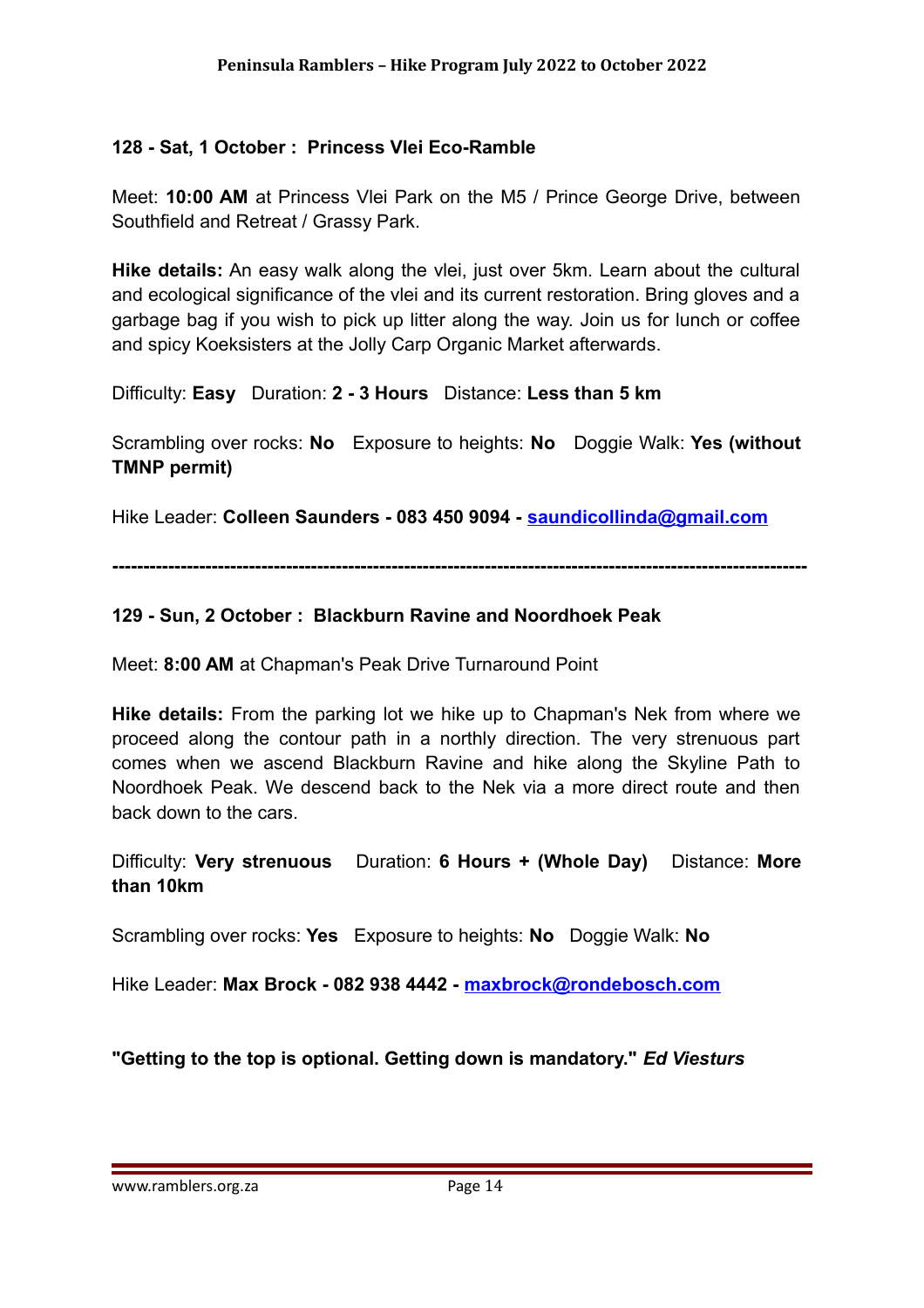#### **128 - Sat, 1 October : Princess Vlei Eco-Ramble**

Meet: **10:00 AM** at Princess Vlei Park on the M5 / Prince George Drive, between Southfield and Retreat / Grassy Park.

**Hike details:** An easy walk along the vlei, just over 5km. Learn about the cultural and ecological significance of the vlei and its current restoration. Bring gloves and a garbage bag if you wish to pick up litter along the way. Join us for lunch or coffee and spicy Koeksisters at the Jolly Carp Organic Market afterwards.

Difficulty: **Easy** Duration: **2 - 3 Hours** Distance: **Less than 5 km**

Scrambling over rocks: **No** Exposure to heights: **No** Doggie Walk: **Yes (without TMNP permit)**

Hike Leader: **Colleen Saunders - 083 450 9094 - [saundicollinda@gmail.com](mailto:saundicollinda@gmail.com)**

**----------------------------------------------------------------------------------------------------------------**

#### **129 - Sun, 2 October : Blackburn Ravine and Noordhoek Peak**

Meet: **8:00 AM** at Chapman's Peak Drive Turnaround Point

**Hike details:** From the parking lot we hike up to Chapman's Nek from where we proceed along the contour path in a northly direction. The very strenuous part comes when we ascend Blackburn Ravine and hike along the Skyline Path to Noordhoek Peak. We descend back to the Nek via a more direct route and then back down to the cars.

Difficulty: **Very strenuous** Duration: **6 Hours + (Whole Day)** Distance: **More than 10km**

Scrambling over rocks: **Yes** Exposure to heights: **No** Doggie Walk: **No**

Hike Leader: **Max Brock - 082 938 4442 - [maxbrock@rondebosch.com](mailto:maxbrock@rondebosch.com)**

**"Getting to the top is optional. Getting down is mandatory."** *Ed Viesturs*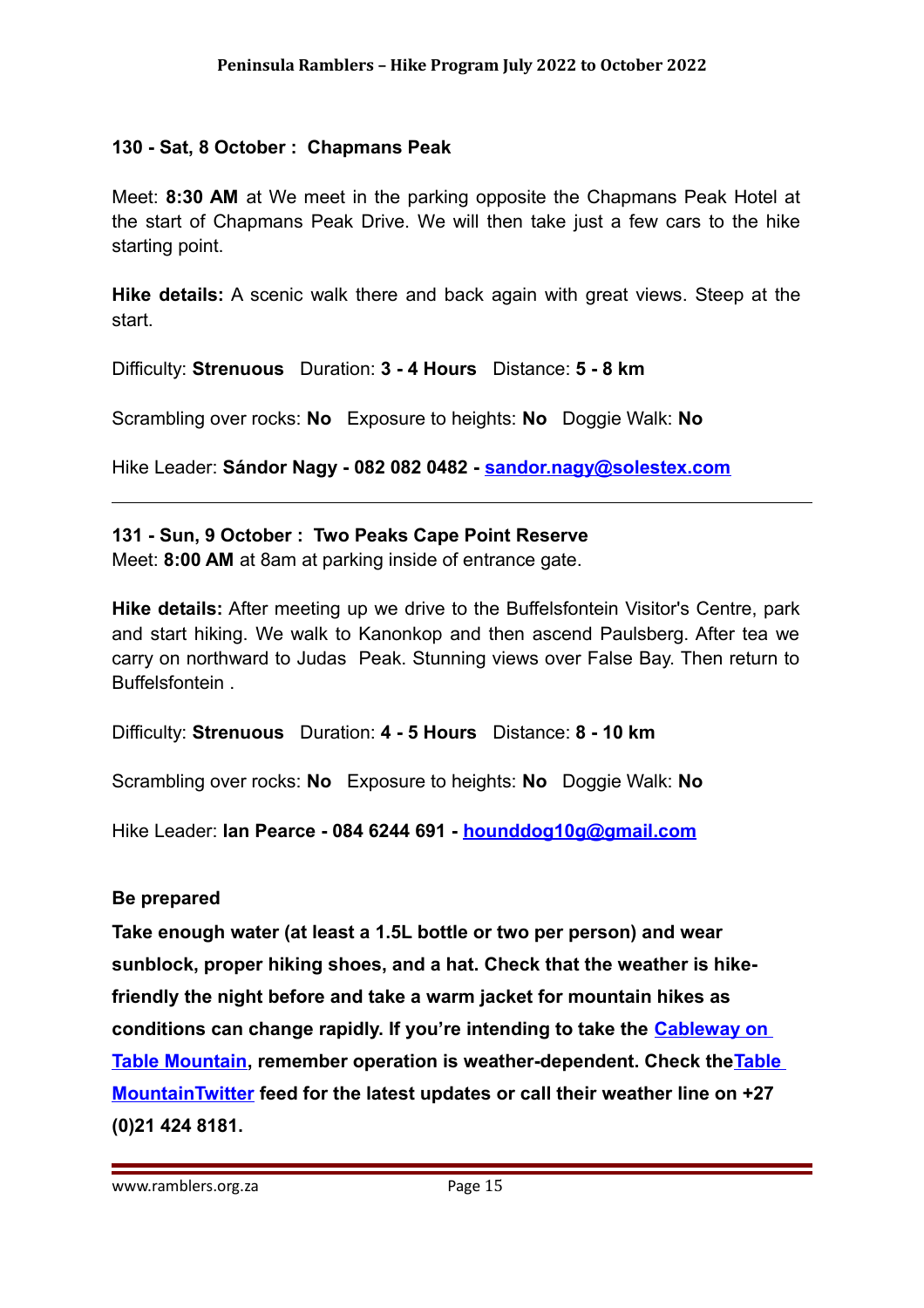#### **130 - Sat, 8 October : Chapmans Peak**

Meet: **8:30 AM** at We meet in the parking opposite the Chapmans Peak Hotel at the start of Chapmans Peak Drive. We will then take just a few cars to the hike starting point.

**Hike details:** A scenic walk there and back again with great views. Steep at the start.

Difficulty: **Strenuous** Duration: **3 - 4 Hours** Distance: **5 - 8 km**

Scrambling over rocks: **No** Exposure to heights: **No** Doggie Walk: **No**

Hike Leader: **Sándor Nagy - 082 082 0482 - [sandor.nagy@solestex.com](mailto:sandor.nagy@solestex.com)**

#### **131 - Sun, 9 October : Two Peaks Cape Point Reserve**

Meet: **8:00 AM** at 8am at parking inside of entrance gate.

**Hike details:** After meeting up we drive to the Buffelsfontein Visitor's Centre, park and start hiking. We walk to Kanonkop and then ascend Paulsberg. After tea we carry on northward to Judas Peak. Stunning views over False Bay. Then return to Buffelsfontein .

Difficulty: **Strenuous** Duration: **4 - 5 Hours** Distance: **8 - 10 km**

Scrambling over rocks: **No** Exposure to heights: **No** Doggie Walk: **No**

Hike Leader: **Ian Pearce - 084 6244 691 - [hounddog10g@gmail.com](mailto:hounddog10g@gmail.com)**

#### **Be prepared**

**Take enough water (at least a 1.5L bottle or two per person) and wear sunblock, proper hiking shoes, and a hat. Check that the weather is hikefriendly the night before and take a warm jacket for mountain hikes as conditions can change rapidly. If you're intending to take the [Cableway on](https://www.capetown.travel/member/table-mountain-aerial-cableway/)  [Table Mountain,](https://www.capetown.travel/member/table-mountain-aerial-cableway/) remember operation is weather-dependent. Check th[eTable](https://twitter.com/TableMountainCa)  [MountainTwitter](https://twitter.com/TableMountainCa) feed for the latest updates or call their weather line on +27 (0)21 424 8181.**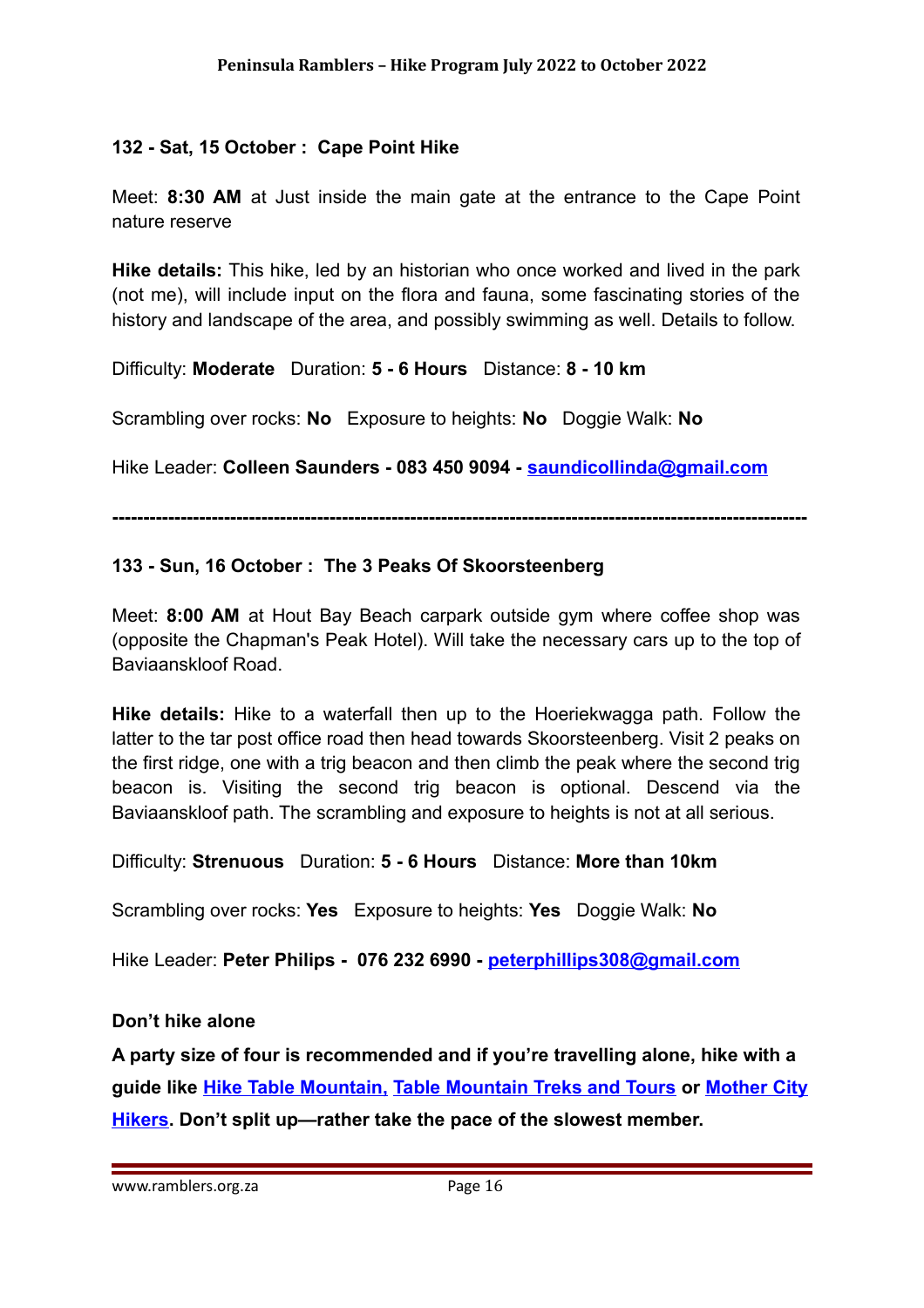#### **132 - Sat, 15 October : Cape Point Hike**

Meet: **8:30 AM** at Just inside the main gate at the entrance to the Cape Point nature reserve

**Hike details:** This hike, led by an historian who once worked and lived in the park (not me), will include input on the flora and fauna, some fascinating stories of the history and landscape of the area, and possibly swimming as well. Details to follow.

Difficulty: **Moderate** Duration: **5 - 6 Hours** Distance: **8 - 10 km**

Scrambling over rocks: **No** Exposure to heights: **No** Doggie Walk: **No**

Hike Leader: **Colleen Saunders - 083 450 9094 - [saundicollinda@gmail.com](mailto:saundicollinda@gmail.com)**

**----------------------------------------------------------------------------------------------------------------**

#### **133 - Sun, 16 October : The 3 Peaks Of Skoorsteenberg**

Meet: **8:00 AM** at Hout Bay Beach carpark outside gym where coffee shop was (opposite the Chapman's Peak Hotel). Will take the necessary cars up to the top of Baviaanskloof Road.

**Hike details:** Hike to a waterfall then up to the Hoeriekwagga path. Follow the latter to the tar post office road then head towards Skoorsteenberg. Visit 2 peaks on the first ridge, one with a trig beacon and then climb the peak where the second trig beacon is. Visiting the second trig beacon is optional. Descend via the Baviaanskloof path. The scrambling and exposure to heights is not at all serious.

Difficulty: **Strenuous** Duration: **5 - 6 Hours** Distance: **More than 10km**

Scrambling over rocks: **Yes** Exposure to heights: **Yes** Doggie Walk: **No**

Hike Leader: **Peter Philips - 076 232 6990 - [peterphillips308@gmail.com](mailto:peterphillips308@gmail.com)**

#### **Don't hike alone**

**A party size of four is recommended and if you're travelling alone, hike with a guide like [Hike Table Mountain,](https://www.capetown.travel/member/hike-table-mountain-2) [Table Mountain Treks and Tours](https://www.capetown.travel/member/table-mountain-treks-and-tours) or [Mother City](https://www.capetown.travel/member/mother-city-hikers) [Hikers.](https://www.capetown.travel/member/mother-city-hikers) Don't split up—rather take the pace of the slowest member.**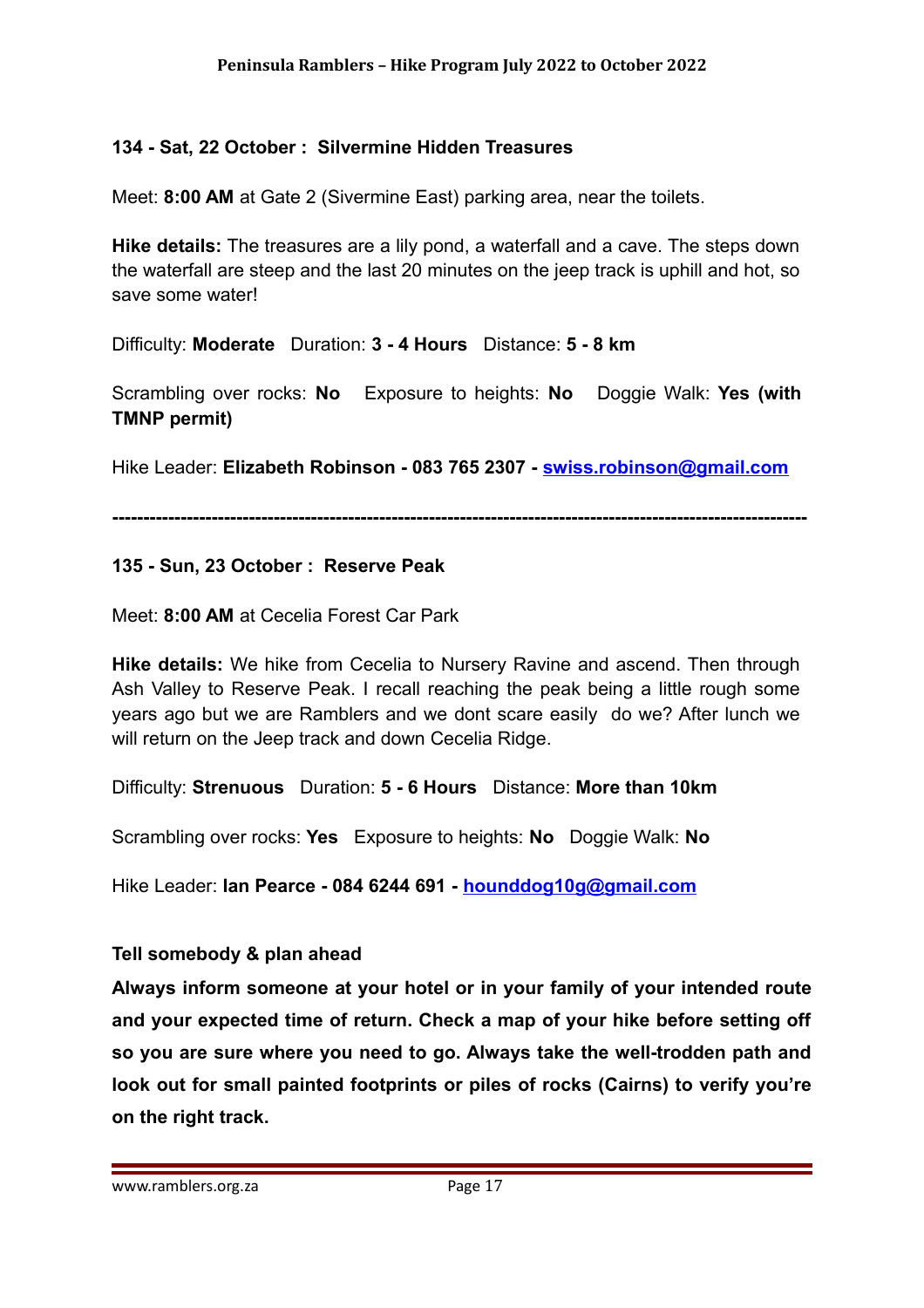#### **134 - Sat, 22 October : Silvermine Hidden Treasures**

Meet: **8:00 AM** at Gate 2 (Sivermine East) parking area, near the toilets.

**Hike details:** The treasures are a lily pond, a waterfall and a cave. The steps down the waterfall are steep and the last 20 minutes on the jeep track is uphill and hot, so save some water!

Difficulty: **Moderate** Duration: **3 - 4 Hours** Distance: **5 - 8 km**

Scrambling over rocks: **No** Exposure to heights: **No** Doggie Walk: **Yes (with TMNP permit)**

Hike Leader: **Elizabeth Robinson - 083 765 2307 - [swiss.robinson@gmail.com](mailto:swiss.robinson@gmail.com)**

**----------------------------------------------------------------------------------------------------------------**

#### **135 - Sun, 23 October : Reserve Peak**

Meet: **8:00 AM** at Cecelia Forest Car Park

**Hike details:** We hike from Cecelia to Nursery Ravine and ascend. Then through Ash Valley to Reserve Peak. I recall reaching the peak being a little rough some years ago but we are Ramblers and we dont scare easily do we? After lunch we will return on the Jeep track and down Cecelia Ridge.

Difficulty: **Strenuous** Duration: **5 - 6 Hours** Distance: **More than 10km**

Scrambling over rocks: **Yes** Exposure to heights: **No** Doggie Walk: **No**

Hike Leader: **Ian Pearce - 084 6244 691 - [hounddog10g@gmail.com](mailto:hounddog10g@gmail.com)**

#### **Tell somebody & plan ahead**

**Always inform someone at your hotel or in your family of your intended route and your expected time of return. Check a map of your hike before setting off so you are sure where you need to go. Always take the well-trodden path and look out for small painted footprints or piles of rocks (Cairns) to verify you're on the right track.**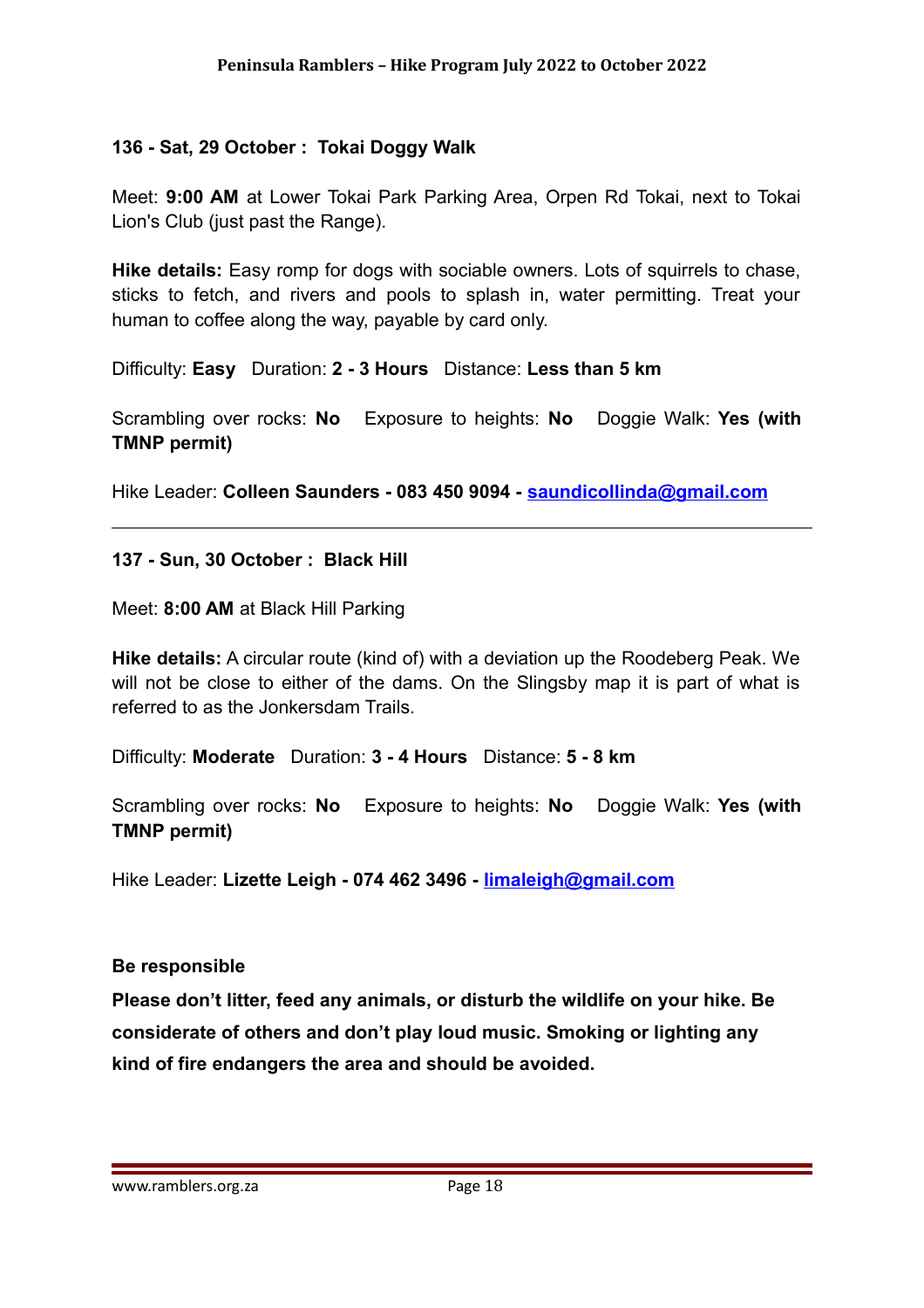#### **136 - Sat, 29 October : Tokai Doggy Walk**

Meet: **9:00 AM** at Lower Tokai Park Parking Area, Orpen Rd Tokai, next to Tokai Lion's Club (just past the Range).

**Hike details:** Easy romp for dogs with sociable owners. Lots of squirrels to chase, sticks to fetch, and rivers and pools to splash in, water permitting. Treat your human to coffee along the way, payable by card only.

Difficulty: **Easy** Duration: **2 - 3 Hours** Distance: **Less than 5 km**

Scrambling over rocks: **No** Exposure to heights: **No** Doggie Walk: **Yes (with TMNP permit)**

Hike Leader: **Colleen Saunders - 083 450 9094 - [saundicollinda@gmail.com](mailto:saundicollinda@gmail.com)**

**137 - Sun, 30 October : Black Hill**

Meet: **8:00 AM** at Black Hill Parking

**Hike details:** A circular route (kind of) with a deviation up the Roodeberg Peak. We will not be close to either of the dams. On the Slingsby map it is part of what is referred to as the Jonkersdam Trails.

Difficulty: **Moderate** Duration: **3 - 4 Hours** Distance: **5 - 8 km**

Scrambling over rocks: **No** Exposure to heights: **No** Doggie Walk: **Yes (with TMNP permit)**

Hike Leader: **Lizette Leigh - 074 462 3496 - [limaleigh@gmail.com](mailto:limaleigh@gmail.com)**

#### **Be responsible**

**Please don't litter, feed any animals, or disturb the wildlife on your hike. Be considerate of others and don't play loud music. Smoking or lighting any kind of fire endangers the area and should be avoided.**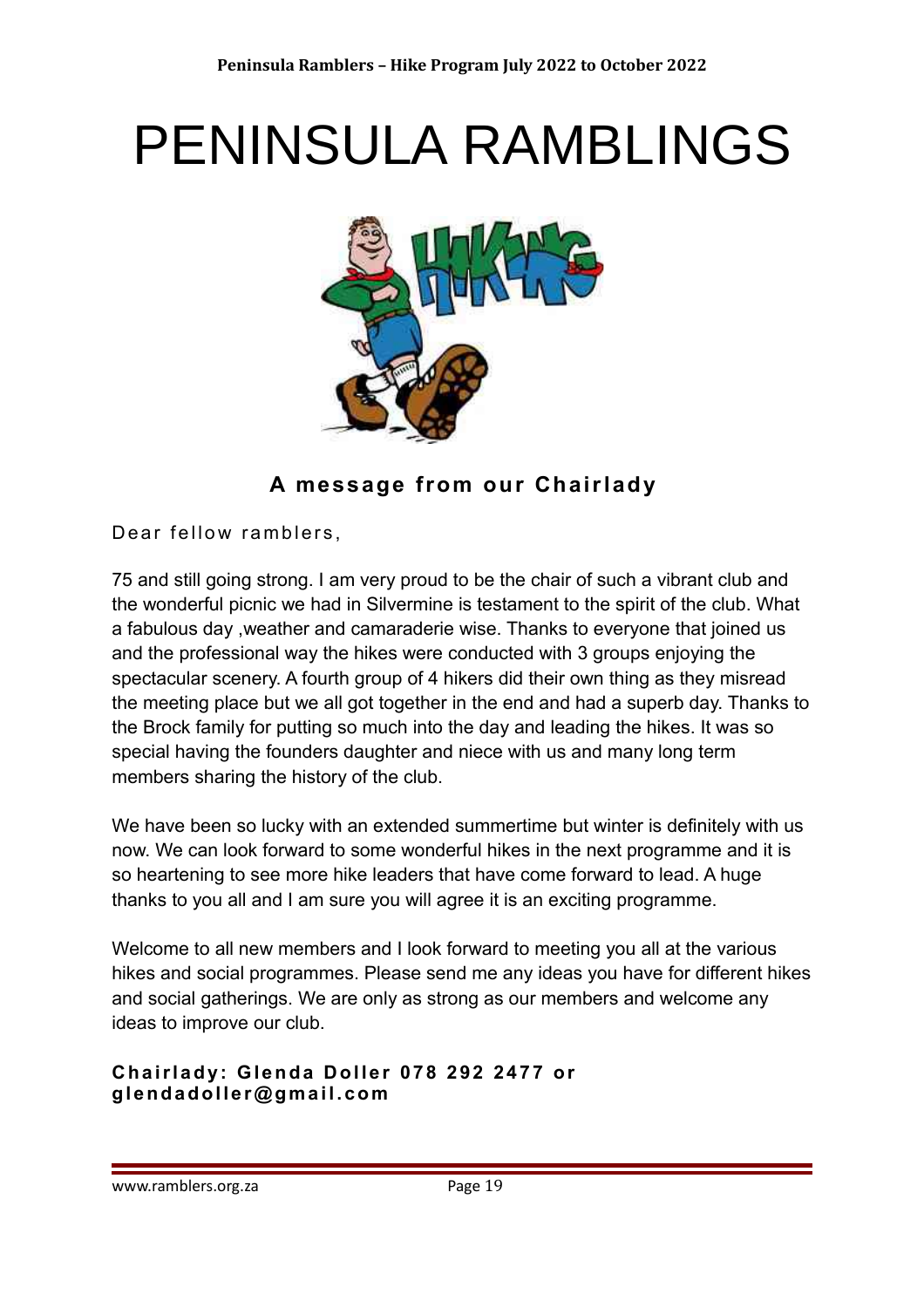# PENINSULA RAMBLINGS



**A message from our Chairlady**

Dear fellow ramblers,

75 and still going strong. I am very proud to be the chair of such a vibrant club and the wonderful picnic we had in Silvermine is testament to the spirit of the club. What a fabulous day ,weather and camaraderie wise. Thanks to everyone that joined us and the professional way the hikes were conducted with 3 groups enjoying the spectacular scenery. A fourth group of 4 hikers did their own thing as they misread the meeting place but we all got together in the end and had a superb day. Thanks to the Brock family for putting so much into the day and leading the hikes. It was so special having the founders daughter and niece with us and many long term members sharing the history of the club.

We have been so lucky with an extended summertime but winter is definitely with us now. We can look forward to some wonderful hikes in the next programme and it is so heartening to see more hike leaders that have come forward to lead. A huge thanks to you all and I am sure you will agree it is an exciting programme.

Welcome to all new members and I look forward to meeting you all at the various hikes and social programmes. Please send me any ideas you have for different hikes and social gatherings. We are only as strong as our members and welcome any ideas to improve our club.

#### **C h a i r l a d y: G l e n d a D o l l e r 07 8 2 92 24 7 7 o r g l e n d a d o l l e r @ g m a i l . c o m**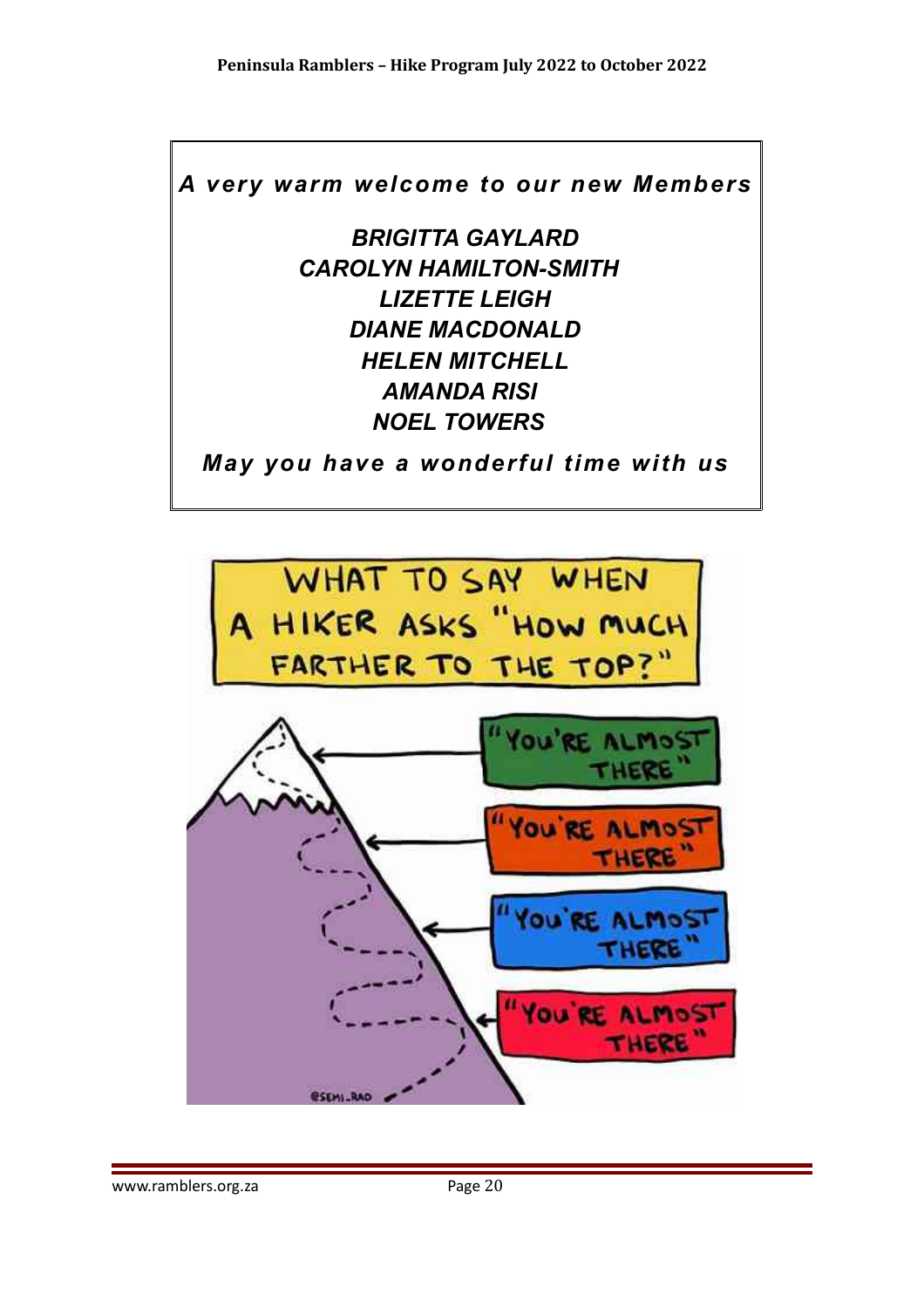*A very warm welcome to our new Members*

*BRIGITTA GAYLARD CAROLYN HAMILTON-SMITH LIZETTE LEIGH DIANE MACDONALD HELEN MITCHELL AMANDA RISI NOEL TOWERS* 

*May you have a wonderful time with us*

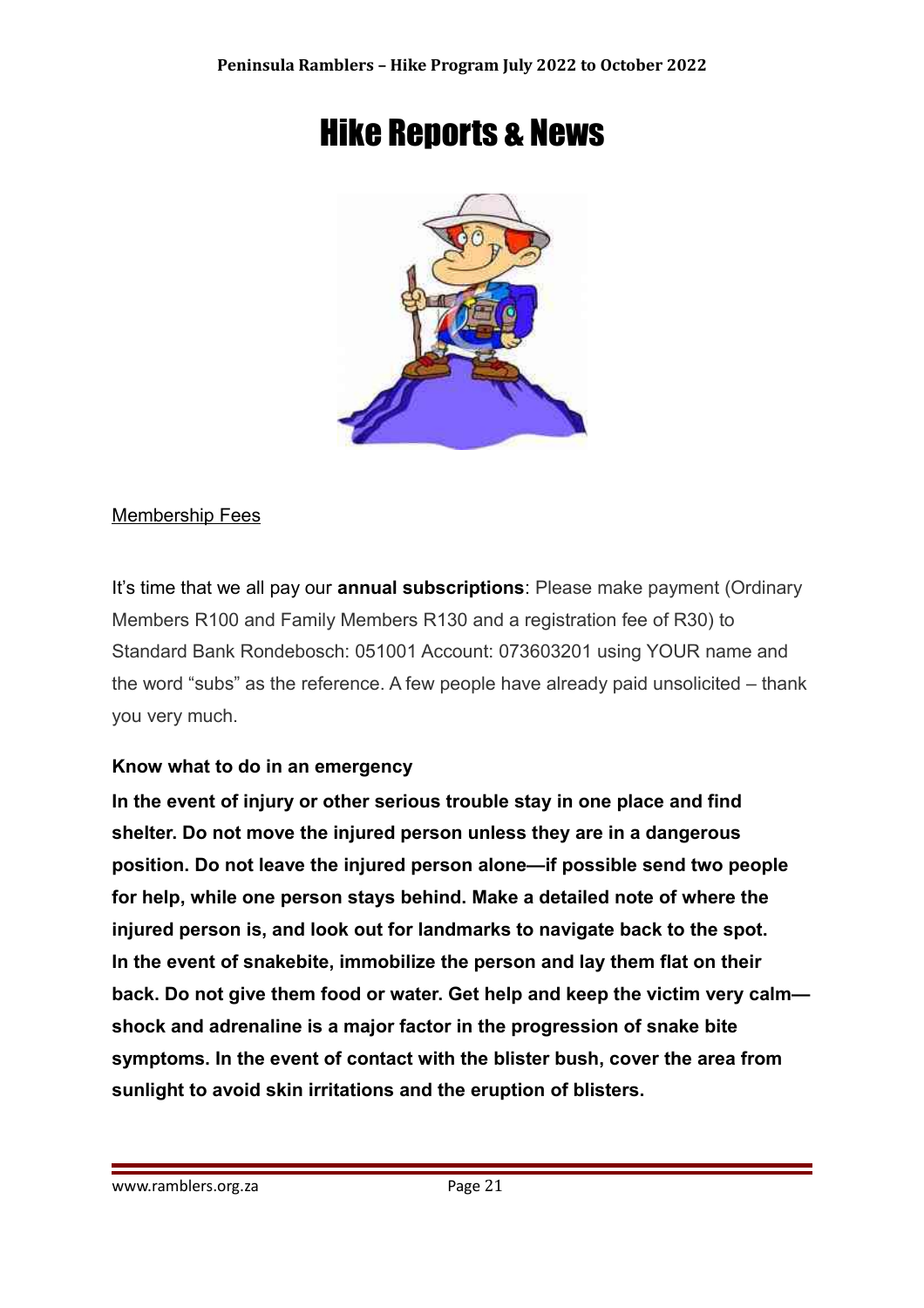## Hike Reports & News



#### Membership Fees

It's time that we all pay our **annual subscriptions**: Please make payment (Ordinary Members R100 and Family Members R130 and a registration fee of R30) to Standard Bank Rondebosch: 051001 Account: 073603201 using YOUR name and the word "subs" as the reference. A few people have already paid unsolicited – thank you very much.

#### **Know what to do in an emergency**

**In the event of injury or other serious trouble stay in one place and find shelter. Do not move the injured person unless they are in a dangerous position. Do not leave the injured person alone—if possible send two people for help, while one person stays behind. Make a detailed note of where the injured person is, and look out for landmarks to navigate back to the spot. In the event of snakebite, immobilize the person and lay them flat on their back. Do not give them food or water. Get help and keep the victim very calm shock and adrenaline is a major factor in the progression of snake bite symptoms. In the event of contact with the blister bush, cover the area from sunlight to avoid skin irritations and the eruption of blisters.**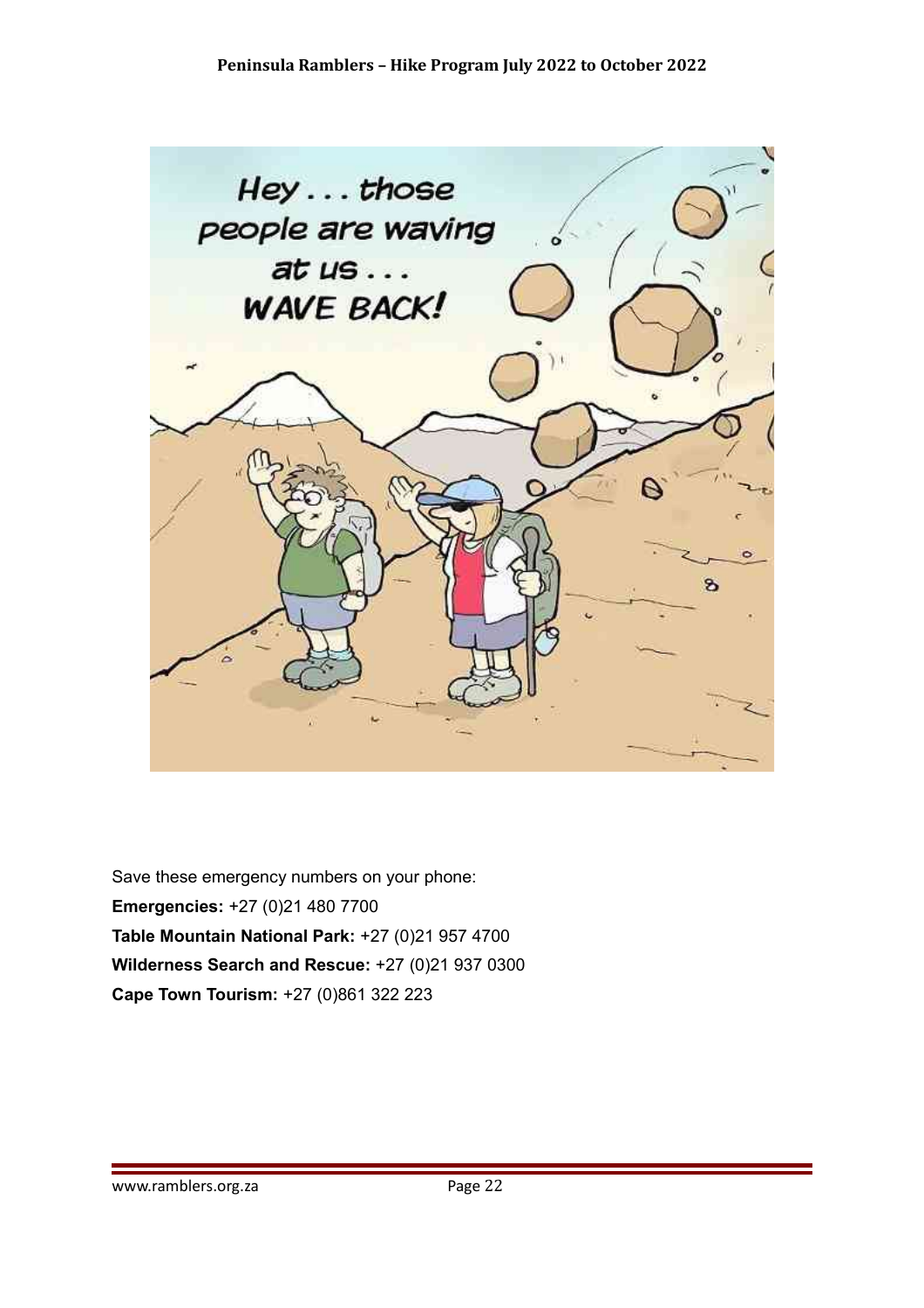

Save these emergency numbers on your phone: **Emergencies:** +27 (0)21 480 7700 **Table Mountain National Park:** +27 (0)21 957 4700 **Wilderness Search and Rescue:** +27 (0)21 937 0300 **Cape Town Tourism:** +27 (0)861 322 223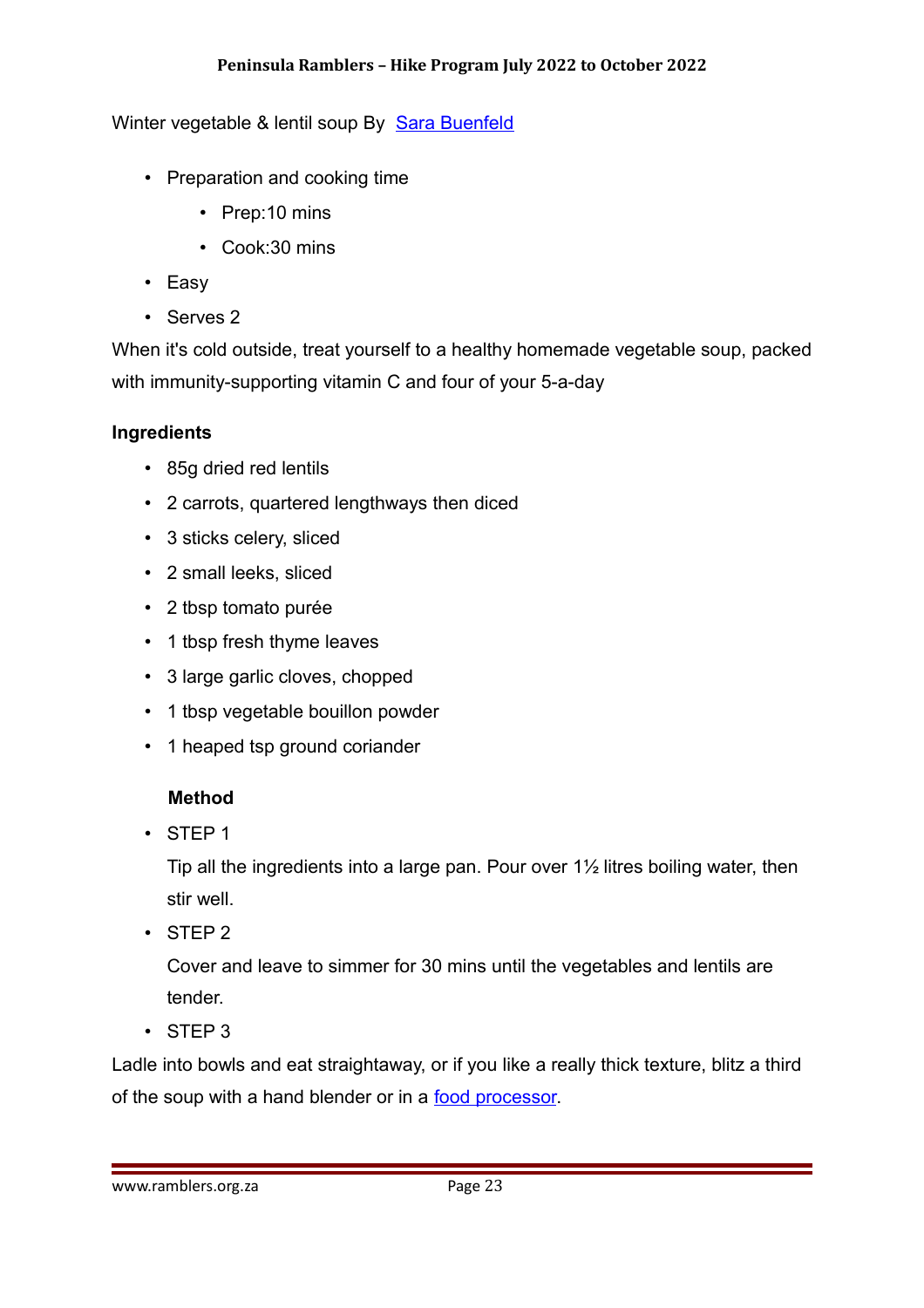#### Winter vegetable & lentil soup By [Sara Buenfeld](https://www.bbcgoodfood.com/author/sarabuenfeld)

- Preparation and cooking time
	- Prep:10 mins
	- Cook:30 mins
- Easy
- Serves 2

When it's cold outside, treat yourself to a healthy homemade vegetable soup, packed with immunity-supporting vitamin C and four of your 5-a-day

#### **Ingredients**

- 85g dried red lentils
- 2 carrots, quartered lengthways then diced
- 3 sticks celery, sliced
- 2 small leeks, sliced
- 2 tbsp tomato purée
- 1 tbsp fresh thyme leaves
- 3 large garlic cloves, chopped
- 1 tbsp vegetable bouillon powder
- 1 heaped tsp ground coriander

#### **Method**

• STEP 1

Tip all the ingredients into a large pan. Pour over 1½ litres boiling water, then stir well.

• STEP 2

Cover and leave to simmer for 30 mins until the vegetables and lentils are tender.

• STEP 3

Ladle into bowls and eat straightaway, or if you like a really thick texture, blitz a third of the soup with a hand blender or in a [food processor.](https://www.bbcgoodfood.com/review/best-food-processors)

www.ramblers.org.za Page 23